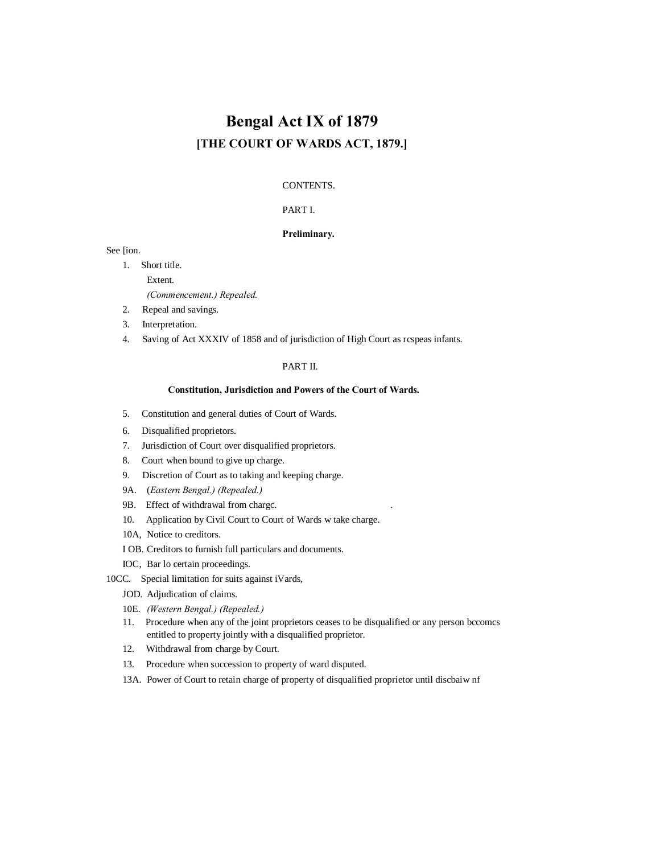# **Bengal Act IX of 1879 [THE COURT OF WARDS ACT, 1879.]**

## CONTENTS.

# PART I.

## **Preliminary.**

See [ion.

- 1. Short title. Extent. *(Commencement.) Repealed.*
- 2. Repeal and savings.
- 3. Interpretation.
- 4. Saving of Act XXXIV of 1858 and of jurisdiction of High Court as rcspeas infants.

## PART II.

## **Constitution, Jurisdiction and Powers of the Court of Wards.**

- 5. Constitution and general duties of Court of Wards.
- 6. Disqualified proprietors.
- 7. Jurisdiction of Court over disqualified proprietors.
- 8. Court when bound to give up charge.
- 9. Discretion of Court as to taking and keeping charge.
- 9A. (*Eastern Bengal.) (Repealed.)*
- 9B. Effect of withdrawal from chargc. .
- 10. Application by Civil Court to Court of Wards w take charge.
- 10A, Notice to creditors.
- I OB. Creditors to furnish full particulars and documents.
- IOC, Bar lo certain proceedings.
- 10CC. Special limitation for suits against iVards,
	- JOD. Adjudication of claims.
	- 10E. *(Western Bengal.) (Repealed.)*
	- 11. Procedure when any of the joint proprietors ceases to be disqualified or any person bccomcs entitled to property jointly with a disqualified proprietor.
	- 12. Withdrawal from charge by Court.
	- 13. Procedure when succession to property of ward disputed.
	- 13A. Power of Court to retain charge of property of disqualified proprietor until discbaiw nf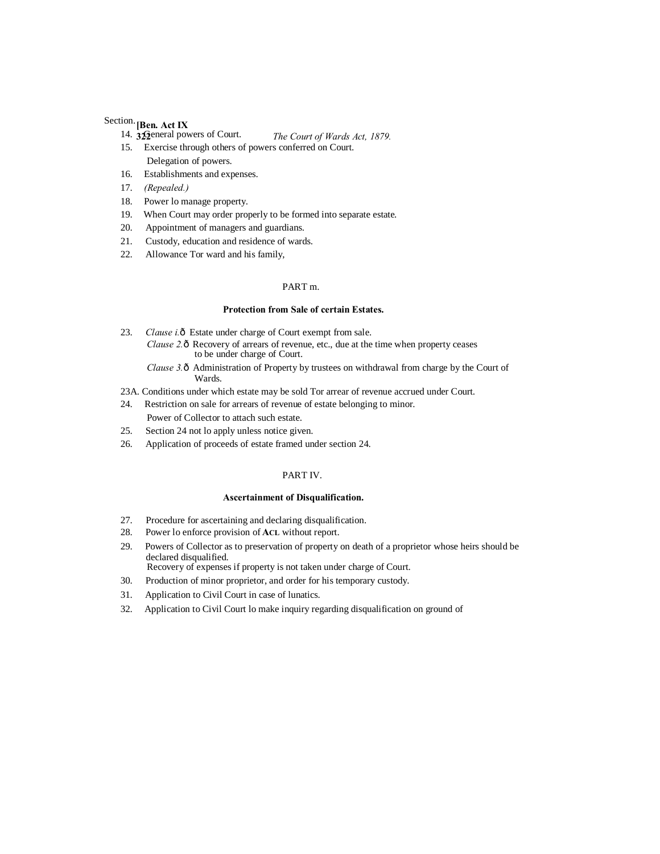# **[Ben. Act IX** Section.

- **322** *The Court of Wards Act, 1879.* 14.  $32$ eneral powers of Court.
- 15. Exercise through others of powers conferred on Court. Delegation of powers.
- 16. Establishments and expenses.
- 17. *(Repealed.)*
- 18. Power lo manage property.
- 19. When Court may order properly to be formed into separate estate.
- 20. Appointment of managers and guardians.
- 21. Custody, education and residence of wards.
- 22. Allowance Tor ward and his family,

## PART m.

## **Protection from Sale of certain Estates.**

- 23. *Clause i.* ô Estate under charge of Court exempt from sale. *Clause 2.* ô Recovery of arrears of revenue, etc., due at the time when property ceases to be under charge of Court.
	- *Clause 3.* ô Administration of Property by trustees on withdrawal from charge by the Court of Wards.
- 23A. Conditions under which estate may be sold Tor arrear of revenue accrued under Court.
- 24. Restriction on sale for arrears of revenue of estate belonging to minor. Power of Collector to attach such estate.
- 25. Section 24 not lo apply unless notice given.
- 26. Application of proceeds of estate framed under section 24.

## PART IV.

#### **Ascertainment of Disqualification.**

- 27. Procedure for ascertaining and declaring disqualification.
- 28. Power lo enforce provision of **ACL** without report.
- 29. Powers of Collector as to preservation of property on death of a proprietor whose heirs should be declared disqualified. Recovery of expenses if property is not taken under charge of Court.
- 30. Production of minor proprietor, and order for his temporary custody.
- 31. Application to Civil Court in case of lunatics.
- 32. Application to Civil Court lo make inquiry regarding disqualification on ground of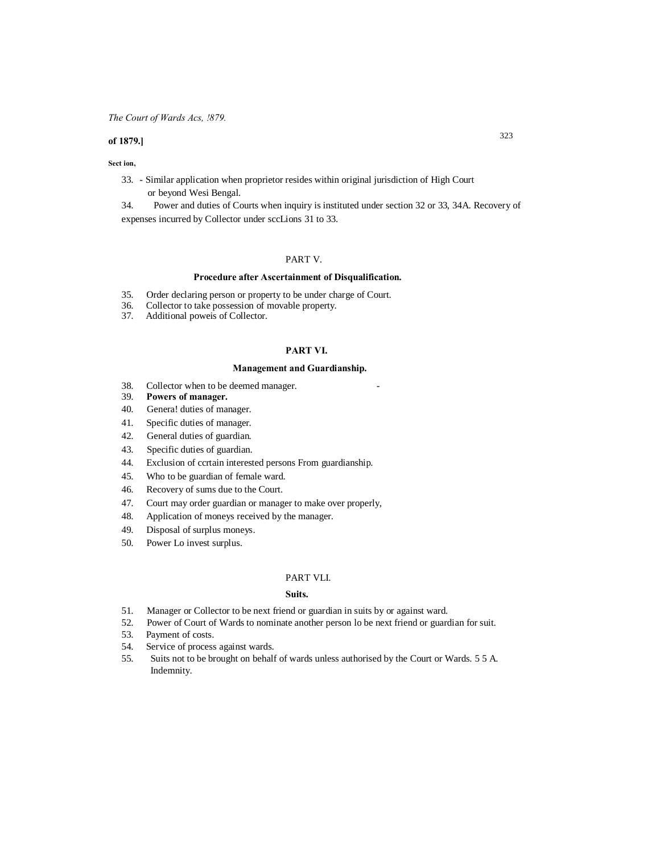## *The Court of Wards Acs, !879.*

## **of 1879.]**

#### **Sect ion,**

33. - Similar application when proprietor resides within original jurisdiction of High Court or beyond Wesi Bengal.

34. Power and duties of Courts when inquiry is instituted under section 32 or 33, 34A. Recovery of expenses incurred by Collector under sccLions 31 to 33.

## PART V.

## **Procedure after Ascertainment of Disqualification.**

- 35. Order declaring person or property to be under charge of Court.
- 36. Collector to take possession of movable property.
- Additional poweis of Collector.

### **PART VI.**

## **Management and Guardianship.**

- 38. Collector when to be deemed manager.
- 39. **Powers of manager.**
- 40. Genera! duties of manager.
- 41. Specific duties of manager.
- 42. General duties of guardian.
- 43. Specific duties of guardian.
- 44. Exclusion of ccrtain interested persons From guardianship.
- 45. Who to be guardian of female ward.
- 46. Recovery of sums due to the Court.
- 47. Court may order guardian or manager to make over properly,
- 48. Application of moneys received by the manager.
- 49. Disposal of surplus moneys.
- 50. Power Lo invest surplus.

#### PART VLI.

#### **Suits.**

- 51. Manager or Collector to be next friend or guardian in suits by or against ward.
- 52. Power of Court of Wards to nominate another person lo be next friend or guardian for suit.
- 53. Payment of costs.
- 54. Service of process against wards.
- 55. Suits not to be brought on behalf of wards unless authorised by the Court or Wards. 5 5 A. Indemnity.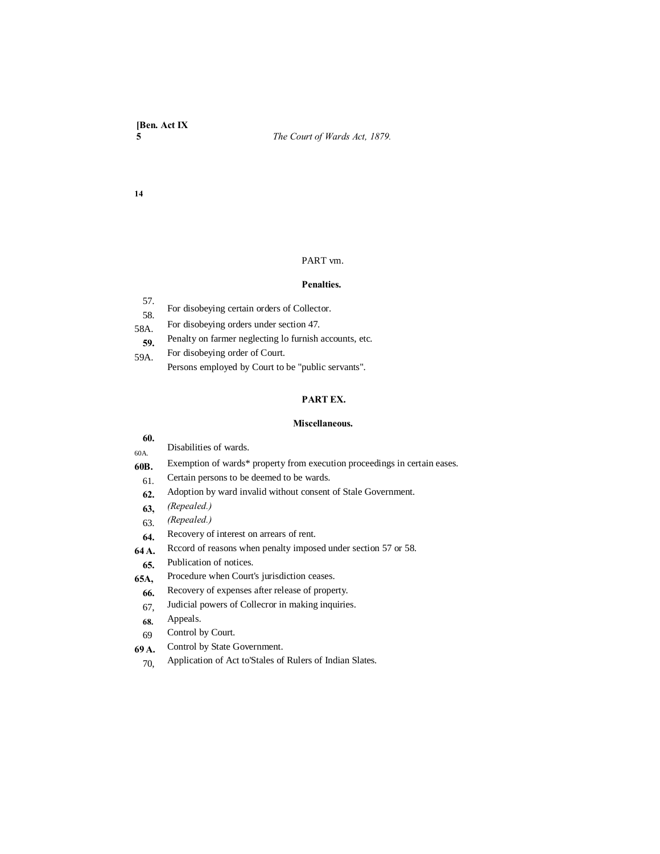**14**

## PART vm.

## **Penalties.**

| 57.  |                                             |
|------|---------------------------------------------|
| .58. | For disobeying certain orders of Collector. |

- For disobeying orders under section 47. 58A.
- Penalty on farmer neglecting lo furnish accounts, etc. **59.**
- For disobeying order of Court. 59A.
	- Persons employed by Court to be "public servants".

# **PART EX.**

## **Miscellaneous.**

| 60.   |                                                                           |
|-------|---------------------------------------------------------------------------|
| 60A.  | Disabilities of wards.                                                    |
| 60B.  | Exemption of wards* property from execution proceedings in certain eases. |
| 61.   | Certain persons to be deemed to be wards.                                 |
| 62.   | Adoption by ward invalid without consent of Stale Government.             |
| 63,   | (Repealed.)                                                               |
| 63.   | (Repealed.)                                                               |
| 64.   | Recovery of interest on arrears of rent.                                  |
| 64 A. | Record of reasons when penalty imposed under section 57 or 58.            |
| 65.   | Publication of notices.                                                   |
| 65A,  | Procedure when Court's jurisdiction ceases.                               |
| 66.   | Recovery of expenses after release of property.                           |
| 67.   | Judicial powers of Collecror in making inquiries.                         |
| 68.   | Appeals.                                                                  |
| 69    | Control by Court.                                                         |
|       |                                                                           |

- Control by State Government. **69 A.**
	- Application of Act to'Stales of Rulers of Indian Slates. 70,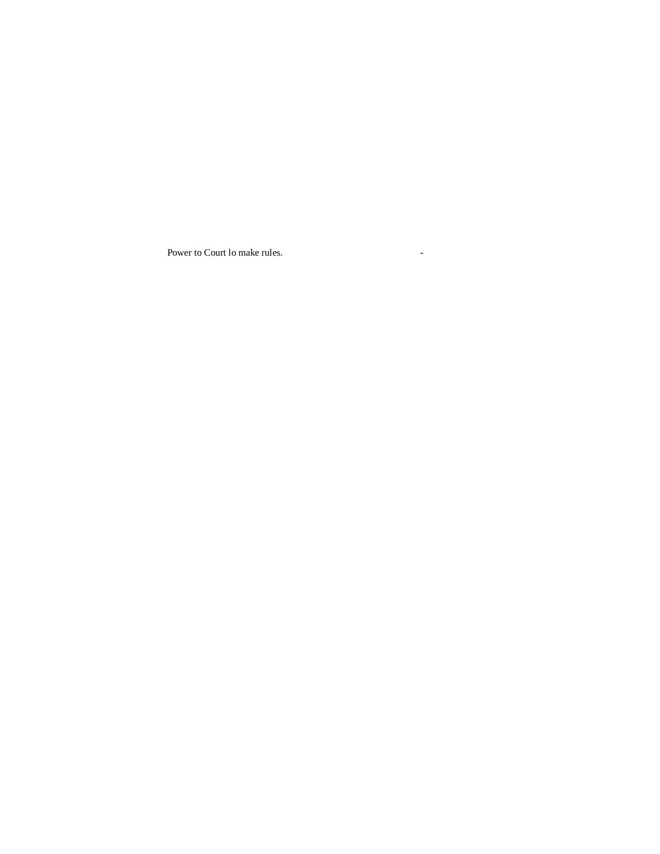Power to Court lo make rules.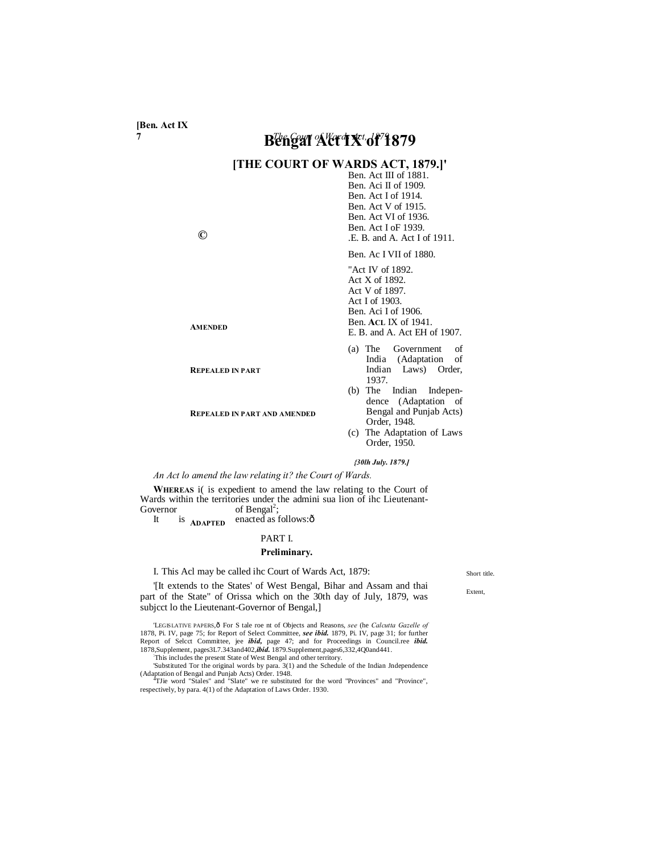**[Ben. Act IX**

# **7** *The Court of Wards Act, 1879.* **Bengal Act IX of 1879**

# **[THE COURT OF WARDS ACT, 1879.]'**

Ben. Act III of 1881. Ben. Aci II of 1909. Ben. Act I of 1914. Ben. Act V of 1915. Ben. Act VI of 1936. Ben. Act I oF 1939. .E. B. and A. Act I of 1911.

Ben. Ac I VII of 1880.

"Act IV of 1892. Act X of 1892. Act V of 1897. Act I of 1903. Ben. Aci I of 1906. Ben. **ACL** IX of 1941. E. B. and A. Act EH of 1907.

- (a) The Government of India (Adaptation of Indian Laws) Order, 1937.
- (b) The Indian Independence (Adaptation of Bengal and Punjab Acts) Order, 1948.
- (c) The Adaptation of Laws Order, 1950.

## *{30lh July. 1879.]*

## *An Act lo amend the law relating it? the Court of Wards.*

**REPEALED IN PART AND AMENDED**

**WHEREAS** i( is expedient to amend the law relating to the Court of Wards within the territories under the admini sua lion of ihc Lieutenant-Governor of Bengal<sup>2</sup>;

**ADAPTED** It is  $A_{\text{DAPTFD}}$  enacted as follows: $\hat{\sigma}$ 

#### PART I.

#### **Preliminary.**

#### I. This Acl may be called ihc Court of Wards Act, 1879:

'[It extends to the States' of West Bengal, Bihar and Assam and thai part of the State" of Orissa which on the 30th day of July, 1879, was subjcct lo the Lieutenant-Governor of Bengal,]

'LEGISLATIVE PAPERS, ô For S tale roe nt of Objects and Reasons, *see* (he *Calcutta Gazelle of* 1878, Pi. IV, page 75; for Report of Select Committee, *see ibid.* 1879, Pi. IV, page 31; for further Report of Select Committee, jee *ibid.* page 47; and for Proceedings in Council.ree *ibid.* 1878.puplement, pages3L7.343

This includes the present State of West Bengal and other territory.

'Substituted Tor the original words by para. 3(1) and the Schedule of the Indian Jndependence (Adaptation of Bengal and Punjab Acts) Order. 1948. <sup>4</sup> TJie word "Stales" and "Slate" we re substituted for the word "Provinces" and "Province",

#### Short title.

Extent,

**©**

**AMENDED**

**REPEALED IN PART**

respectively, by para. 4(1) of the Adaptation of Laws Order. 1930.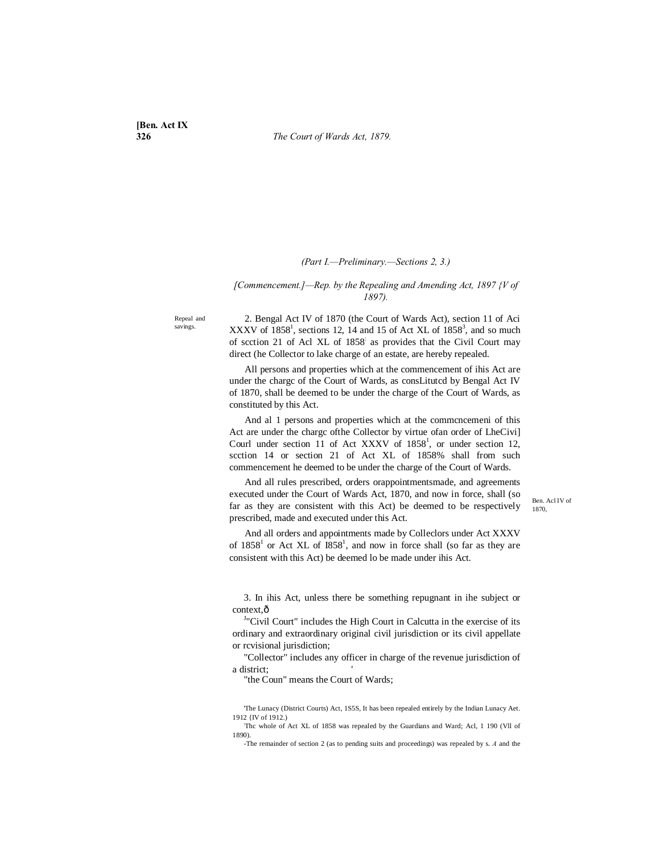## *(Part I.—Preliminary.—Sections 2, 3.)*

## *[Commencement.]—Rep. by the Repealing and Amending Act, 1897 {V of 1897).*

Repeal and savings.

2. Bengal Act IV of 1870 (the Court of Wards Act), section 11 of Aci XXXV of  $1858^1$ , sections 12, 14 and 15 of Act XL of  $1858^3$ , and so much of scction 21 of Acl XL of 1858: as provides that the Civil Court may direct (he Collector to lake charge of an estate, are hereby repealed.

All persons and properties which at the commencement of ihis Act are under the chargc of the Court of Wards, as consLitutcd by Bengal Act IV of 1870, shall be deemed to be under the charge of the Court of Wards, as constituted by this Act.

And al 1 persons and properties which at the commcncemeni of this Act are under the chargc ofthe Collector by virtue ofan order of LheCivi] Courl under section 11 of Act XXXV of  $1858<sup>1</sup>$ , or under section 12, scction 14 or section 21 of Act XL of 1858% shall from such commencement he deemed to be under the charge of the Court of Wards.

And all rules prescribed, orders orappointmentsmade, and agreements executed under the Court of Wards Act, 1870, and now in force, shall (so far as they are consistent with this Act) be deemed to be respectively prescribed, made and executed under this Act.

And all orders and appointments made by Colleclors under Act XXXV of  $1858<sup>1</sup>$  or Act XL of  $1858<sup>1</sup>$ , and now in force shall (so far as they are consistent with this Act) be deemed lo be made under ihis Act.

3. In ihis Act, unless there be something repugnant in ihe subject or context.ô

<sup>J</sup>"Civil Court" includes the High Court in Calcutta in the exercise of its ordinary and extraordinary original civil jurisdiction or its civil appellate or rcvisional jurisdiction;

"Collector" includes any officer in charge of the revenue jurisdiction of a district;

"the Coun" means the Court of Wards;

Ben. Acl IV of 1870,

<sup>&#</sup>x27;The Lunacy (District Courts) Act, 1S5S, It has been repealed entirely by the Indian Lunacy Aet. 1912 {IV of 1912.)

<sup>:</sup> Thc whole of Act XL of 1858 was repealed by the Guardians and Ward; Acl, 1 190 (Vll of 1890).

<sup>-</sup>The remainder of section 2 (as to pending suits and proceedings) was repealed by s. *A* and the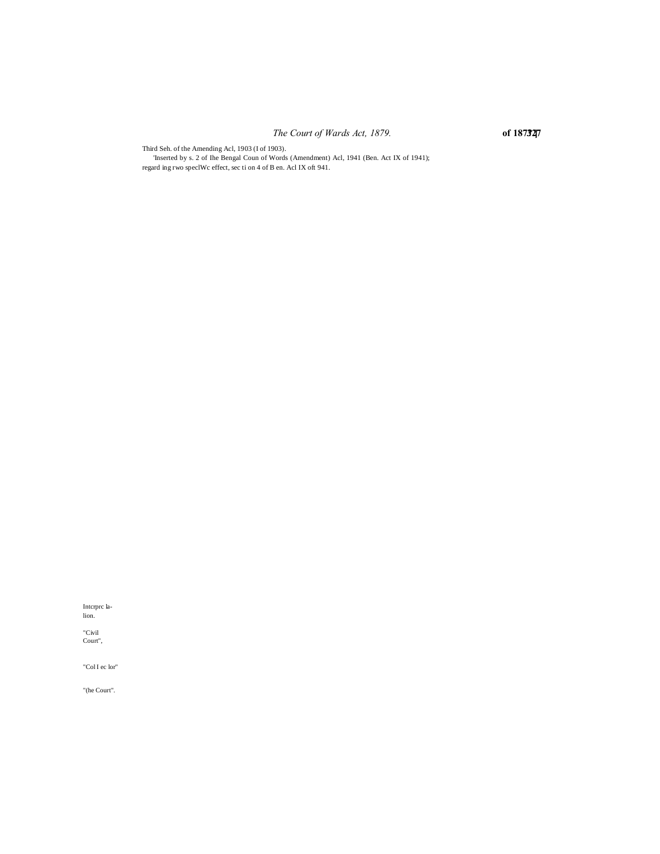# *The Court of Wards Act, 1879.* **of 187?.] 327**

Third Seh. of the Amending Acl, 1903 (I of 1903).

'Inserted by s. 2 of Ihe Bengal Coun of Words (Amendment) Acl, 1941 (Ben. Act IX of 1941); regard ing rwo speclWc effect, sec ti on 4 of B en. Acl IX oft 941.

Intcrprc lalion.

"Civil Court",

"Col I ec lor"

"(he Court".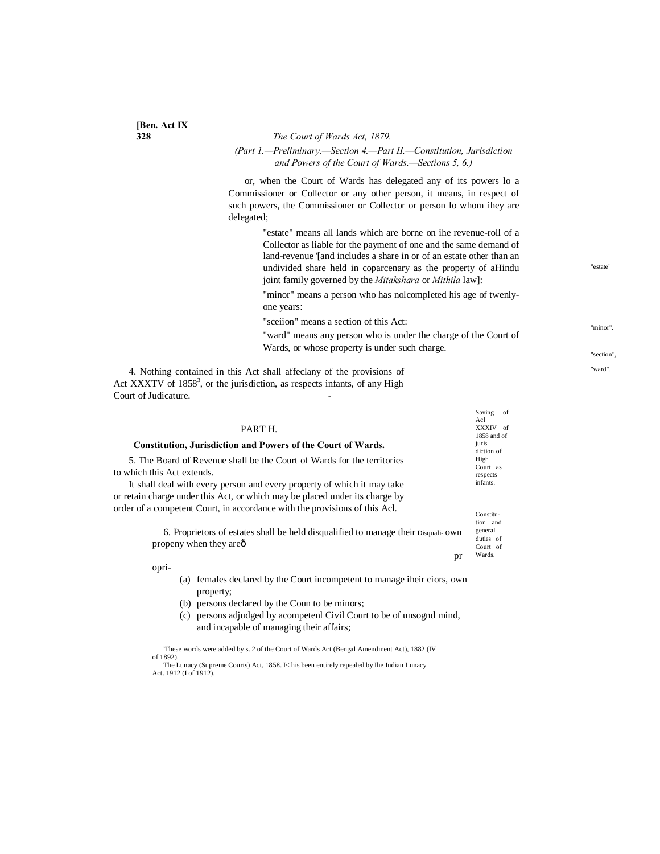**[Ben. Act IX**

**328** *The Court of Wards Act, 1879. (Part 1.—Preliminary.—Section 4.—Part II.—Constitution, Jurisdiction and Powers of the Court of Wards.—Sections 5, 6.)*

or, when the Court of Wards has delegated any of its powers lo a Commissioner or Collector or any other person, it means, in respect of such powers, the Commissioner or Collector or person lo whom ihey are delegated;

> "estate" means all lands which are borne on ihe revenue-roll of a Collector as liable for the payment of one and the same demand of land-revenue '[and includes a share in or of an estate other than an undivided share held in coparcenary as the property of aHindu joint family governed by the *Mitakshara* or *Mithila* law]:

"estate"

"minor".

"section", "ward".

"minor" means a person who has nolcompleted his age of twenlyone years:

"sceiion" means a section of this Act:

"ward" means any person who is under the charge of the Court of Wards, or whose property is under such charge.

Saving of

4. Nothing contained in this Act shall affeclany of the provisions of Act XXXTV of  $1858<sup>3</sup>$ , or the jurisdiction, as respects infants, of any High Court of Judicature.

|                                                                                                                      | Ac1                                          |  |
|----------------------------------------------------------------------------------------------------------------------|----------------------------------------------|--|
| PART H.                                                                                                              | XXXIV of                                     |  |
| <b>Constitution, Jurisdiction and Powers of the Court of Wards.</b>                                                  | 1858 and of<br>juris<br>diction of           |  |
| 5. The Board of Revenue shall be the Court of Wards for the territories<br>to which this Act extends.                |                                              |  |
| It shall deal with every person and every property of which it may take                                              |                                              |  |
| or retain charge under this Act, or which may be placed under its charge by                                          |                                              |  |
| order of a competent Court, in accordance with the provisions of this Acl.                                           | Constitu-                                    |  |
| 6. Proprietors of estates shall be held disqualified to manage their Disqual- own<br>propeny when they are $\hat{o}$ | tion and<br>general<br>duties of<br>Court of |  |
| pr                                                                                                                   | Wards.                                       |  |
| opri-                                                                                                                |                                              |  |
| females declared by the Court incompetent to manage iheir ciors, own<br>(a)<br>property;                             |                                              |  |

- (b) persons declared by the Coun to be minors;
- (c) persons adjudged by acompetenl Civil Court to be of unsognd mind, and incapable of managing their affairs;

'These words were added by s. 2 of the Court of Wards Act (Bengal Amendment Act), 1882 (IV  $of 1892$ The Lunacy (Supreme Courts) Act, 1858. I< his been entirely repealed by Ihe Indian Lunacy

Act. 1912 (I of 1912).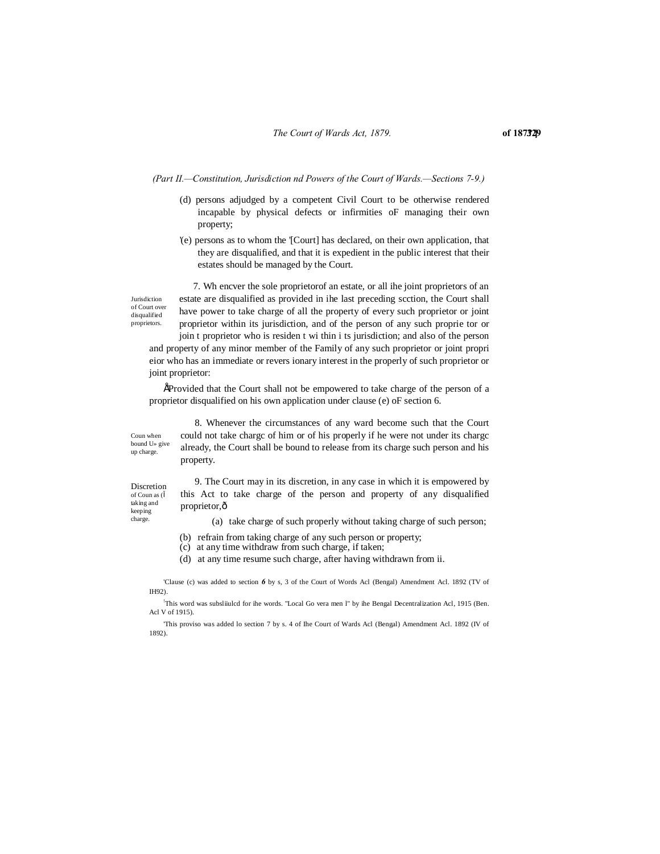*(Part II.—Constitution, Jurisdiction nd Powers of the Court of Wards.—Sections 7-9.)*

- (d) persons adjudged by a competent Civil Court to be otherwise rendered incapable by physical defects or infirmities oF managing their own property;
- '(e) persons as to whom the '[Court] has declared, on their own application, that they are disqualified, and that it is expedient in the public interest that their estates should be managed by the Court.

Jurisdiction of Court over disqualified proprietors.

7. Wh encver the sole proprietorof an estate, or all ihe joint proprietors of an estate are disqualified as provided in ihe last preceding scction, the Court shall have power to take charge of all the property of every such proprietor or joint proprietor within its jurisdiction, and of the person of any such proprie tor or

join t proprietor who is residen t wi thin i ts jurisdiction; and also of the person and property of any minor member of the Family of any such proprietor or joint propri eior who has an immediate or revers ionary interest in the properly of such proprietor or joint proprietor:

•'Provided that the Court shall not be empowered to take charge of the person of a proprietor disqualified on his own application under clause (e) oF section 6.

Coun when bound U» give up charge.

8. Whenever the circumstances of any ward become such that the Court could not take chargc of him or of his properly if he were not under its chargc already, the Court shall be bound to release from its charge such person and his property.

Discretion of Coun as ( taking and keeping charge.

9. The Court may in its discretion, in any case in which it is empowered by this Act to take charge of the person and property of any disqualified proprietor, ô

(a) take charge of such properly without taking charge of such person;

- (b) refrain from taking charge of any such person or property;
- (c) at any time withdraw from such charge, if taken;

(d) at any time resume such charge, after having withdrawn from ii.

'Clause (c) was added to section *6* by s, 3 of the Court of Words Acl (Bengal) Amendment Acl. 1892 (TV of IH92).

! This word was subsliiulcd for ihe words. "Local Go vera men l" by ihe Bengal Decentralization Acl, 1915 (Ben. Acl V of 1915).

'This proviso was added lo section 7 by s. 4 of Ihe Court of Wards Acl (Bengal) Amendment Acl. 1892 (IV of 1892).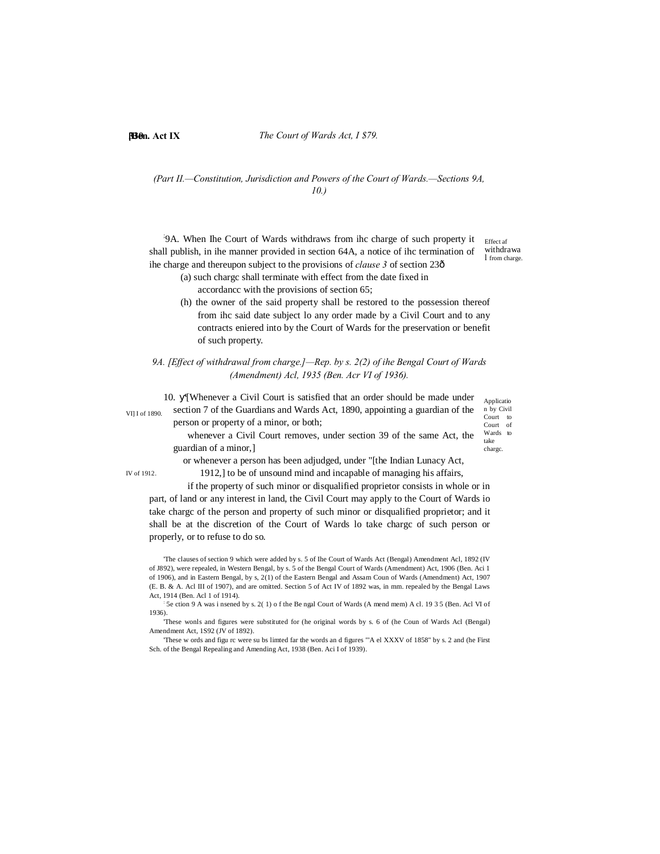## **[Ben. Act IX 330** *The Court of Wards Act, I \$79.*

## *(Part II.—Constitution, Jurisdiction and Powers of the Court of Wards.—Sections 9A, 10.)*

; 9A. When Ihe Court of Wards withdraws from ihc charge of such property it shall publish, in ihe manner provided in section 64A, a notice of ihc termination of ihe charge and thereupon subject to the provisions of *clause* 3 of section 23 $\hat{o}$ 

Effect af withdrawa l from charge.

- (a) such chargc shall terminate with effect from the date fixed in accordancc with the provisions of section 65;
- (h) the owner of the said property shall be restored to the possession thereof from ihc said date subject lo any order made by a Civil Court and to any contracts eniered into by the Court of Wards for the preservation or benefit of such property.

## *9A. [Effect of withdrawal from charge.]—Rep. by s. 2(2) of ihe Bengal Court of Wards (Amendment) Acl, 1935 (Ben. Acr VI of 1936).*

Applicatio n by Civil take chargc. VI] I of 1890. 10. '[Whenever a Civil Court is satisfied that an order should be made under section 7 of the Guardians and Wards Act, 1890, appointing a guardian of the person or property of a minor, or both; whenever a Civil Court removes, under section 39 of the same Act, the guardian of a minor,]

Court to Court of Wards to

IV of 1912.

or whenever a person has been adjudged, under "[the Indian Lunacy Act, 1912,] to be of unsound mind and incapable of managing his affairs,

if the property of such minor or disqualified proprietor consists in whole or in part, of land or any interest in land, the Civil Court may apply to the Court of Wards io take chargc of the person and property of such minor or disqualified proprietor; and it shall be at the discretion of the Court of Wards lo take chargc of such person or properly, or to refuse to do so.

'The clauses of section 9 which were added by s. 5 of Ihe Court of Wards Act (Bengal) Amendment Acl, 1892 (IV of J892), were repealed, in Western Bengal, by s. 5 of the Bengal Court of Wards (Amendment) Act, 1906 (Ben. Aci 1 of 1906), and in Eastern Bengal, by s, 2(1) of the Eastern Bengal and Assam Coun of Wards (Amendment) Act, 1907 (E. B. & A. Acl III of 1907), and are omitted. Section 5 of Act IV of 1892 was, in mm. repealed by the Bengal Laws Act, 1914 (Ben. Acl 1 of 1914).

: 5e ction 9 A was i nsened by s. 2( 1) o f the Be ngal Court of Wards (A mend mem) A cl. 19 3 5 (Ben. Acl VI of 1936).

'These wonls and figures were substituted for (he original words by s. 6 of (he Coun of Wards Acl (Bengal) Amendment Act, 1S92 (JV of 1892).

'These w ords and figu rc were su bs limted far the words an d figures "'A el XXXV of 1858" by s. 2 and (he First Sch. of the Bengal Repealing and Amending Act, 1938 (Ben. Aci I of 1939).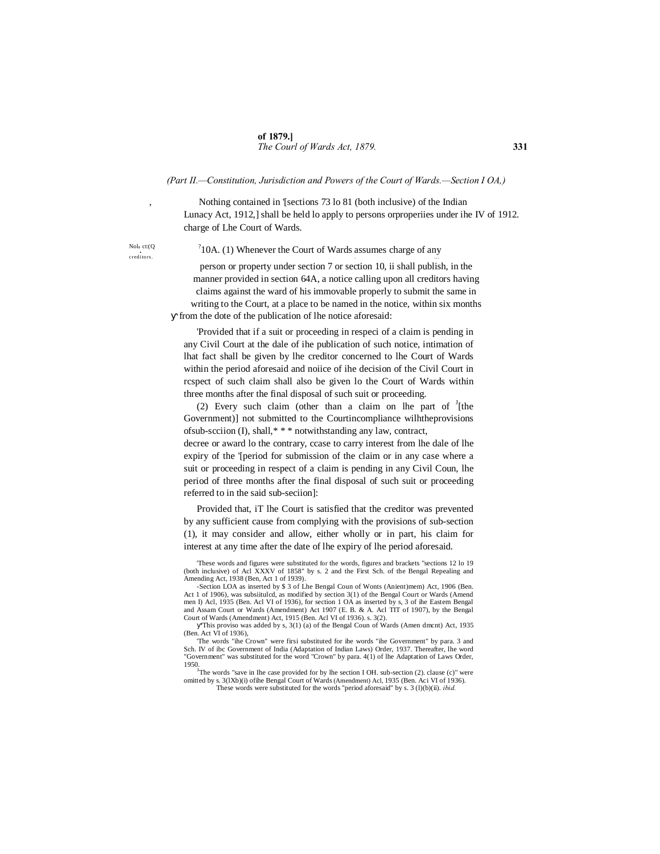## **of 1879.]** *The Courl of Wards Act, 1879.* **331**

#### *(Part II.—Constitution, Jurisdiction and Powers of the Court of Wards.—Section I OA,)*

Nothing contained in '[sections 73 lo 81 (both inclusive) of the Indian Lunacy Act, 1912,] shall be held lo apply to persons orproperiies under ihe IV of 1912. charge of Lhe Court of Wards.

Nol,  $ct:(Q$ <br>creditors.

 $10A$ . (1) Whenever the Court of Wards assumes charge of any

person or property under section 7 or section 10, ii shall publish, in the manner provided in section 64A, a notice calling upon all creditors having claims against the ward of his immovable properly to submit the same in writing to the Court, at a place to be named in the notice, within six months from the dote of the publication of lhe notice aforesaid:

'Provided that if a suit or proceeding in respeci of a claim is pending in any Civil Court at the dale of ihe publication of such notice, intimation of lhat fact shall be given by lhe creditor concerned to lhe Court of Wards within the period aforesaid and noiice of ihe decision of the Civil Court in rcspect of such claim shall also be given lo the Court of Wards within three months after the final disposal of such suit or proceeding.

(2) Every such claim (other than a claim on lhe part of  $\frac{1}{1}$ [the Government)] not submitted to the Courtincompliance wilhtheprovisions ofsub-scciion (I), shall,\* \* \* notwithstanding any law, contract,

decree or award lo the contrary, ccase to carry interest from lhe dale of lhe expiry of the '[period for submission of the claim or in any case where a suit or proceeding in respect of a claim is pending in any Civil Coun, lhe period of three months after the final disposal of such suit or proceeding referred to in the said sub-seciion]:

Provided that, iT lhe Court is satisfied that the creditor was prevented by any sufficient cause from complying with the provisions of sub-section (1), it may consider and allow, either wholly or in part, his claim for interest at any time after the date of lhe expiry of lhe period aforesaid.

'These words and figures were substituted for the words, figures and brackets "sections 12 lo 19 (both inclusive) of Acl XXXV of 1858" by s. 2 and the First Sch. of the Bengal Repealing and Amending Act, 1938 (Ben, Act 1 of 1939).

Section LOA as inserted by \$ 3 of Lhe Bengal Coun of Wonts (Anient)mem) Act, 1906 (Ben. Act 1 of 1906), was subsiitulcd, as modified by section 3(1) of the Bengal Court or Wards (Amend men I) Acl, 1935 (Ben. Acl VI of 1936), for section 1 OA as inserted by s, 3 of ihe Eastern Bengal and Assam Court or Wards (Amendment) Act 1907 (E. B. & A. Acl TIT of 1907), by the Bengal Court of Wards (Amendment) Act, 1915 (Ben. Acl VI of 1936). s. 3(2).

'This proviso was added by s, 3(1) (a) of the Bengal Coun of Wards (Amen dmcnt) Act, 1935 (Ben. Act VI of 1936)

'The words "ihe Crown" were firsi substituted for ihe words "ihe Government" by para. 3 and Sch. IV of ibc Government of India (Adaptation of Indian Laws) Order, 1937. Thereafter, lhe word "Government" was substituted for the word "Crown" by para. 4(1) of lhe Adaptation of Laws Order,

1950.3 The words "save in Ihe case provided for by lhe section I OH. sub-section (2). clause (c)" were omitted by s. 3(lXb)(i) ofihe Bengal Court of Wards (Amendment) Acl, 1935 (Ben. Aci VI of 1936). These words were substituted for the words "period aforesaid" by s. 3 (l)(b)(ii). *ibid.*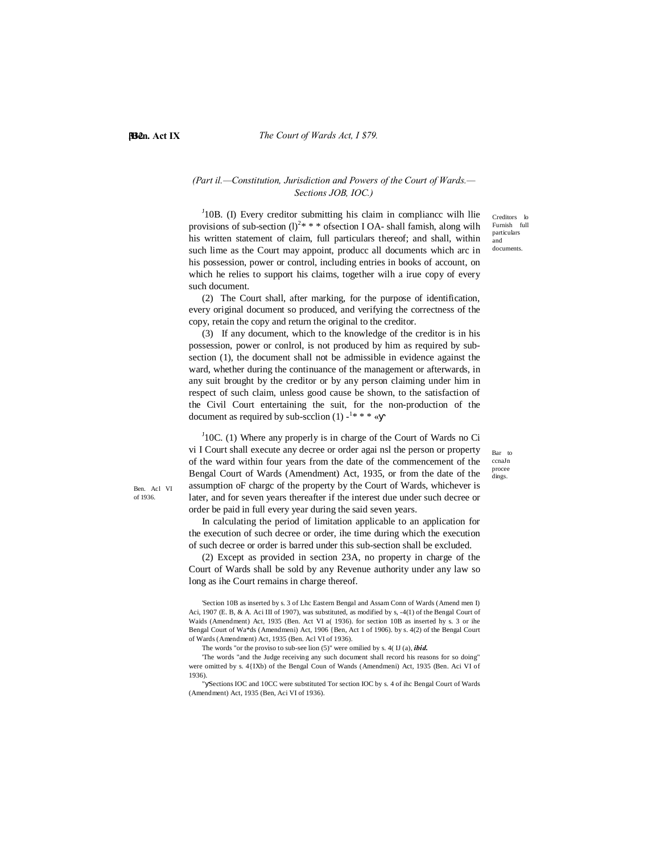Ben. Acl VI of 1936.

## **[Ben. Act IX 333** *The Court of Wards Act, I \$79.*

## *(Part il.—Constitution, Jurisdiction and Powers of the Court of Wards.— Sections JOB, IOC.)*

 $J10B$ . (I) Every creditor submitting his claim in compliance wilh llie provisions of sub-section  $(l)^{2*}$  \* \* of section I OA- shall famish, along wilh his written statement of claim, full particulars thereof; and shall, within such lime as the Court may appoint, producc all documents which arc in his possession, power or control, including entries in books of account, on which he relies to support his claims, together wilh a irue copy of every such document.

(2) The Court shall, after marking, for the purpose of identification, every original document so produced, and verifying the correctness of the copy, retain the copy and return the original to the creditor.

(3) If any document, which to the knowledge of the creditor is in his possession, power or conlrol, is not produced by him as required by subsection (1), the document shall not be admissible in evidence against the ward, whether during the continuance of the management or afterwards, in any suit brought by the creditor or by any person claiming under him in respect of such claim, unless good cause be shown, to the satisfaction of the Civil Court entertaining the suit, for the non-production of the document as required by sub-scclion  $(1)$  -<sup>1\*\*\*</sup>

 $J<sup>J</sup>10C$ . (1) Where any properly is in charge of the Court of Wards no Ci vi I Court shall execute any decree or order agai nsl the person or property of the ward within four years from the date of the commencement of the Bengal Court of Wards (Amendment) Act, 1935, or from the date of the assumption oF chargc of the property by the Court of Wards, whichever is later, and for seven years thereafter if the interest due under such decree or order be paid in full every year during the said seven years.

In calculating the period of limitation applicable to an application for

the execution of such decree or order, ihe time during which the execution of such decree or order is barred under this sub-section shall be excluded.

(2) Except as provided in section 23A, no property in charge of the Court of Wards shall be sold by any Revenue authority under any law so long as ihe Court remains in charge thereof.

'Section 10B as inserted by s. 3 of Lhc Eastern Bengal and Assam Conn of Wards (Amend men I) Aci, 1907 (E. B, & A. Aci III of 1907), was substituted, as modified by s, -4(1) of the Bengal Court of Waids (Amendment) Act, 1935 (Ben. Act VI a( 1936). for section 10B as inserted hy s. 3 or ihe Bengal Court of Wa\*ds (Amendmeni) Act, 1906 {Ben, Act 1 of 1906). by s. 4(2) of the Bengal Court of Wards (Amendment) Act, 1935 (Ben. Acl VI of 1936).

The words "or the proviso to sub-see lion (5)" were omilied by s. 4( IJ (a), *ibid.*

'The words "and the Judge receiving any such document shall record his reasons for so doing" were omitted by s. 4{IXb) of the Bengal Coun of Wands (Amendmeni) Act, 1935 (Ben. Aci VI of 1936).

" Sections IOC and 10CC were substituted Tor section IOC by s. 4 of ihc Bengal Court of Wards (Amendment) Act, 1935 (Ben, Aci VI of 1936).

Creditors lo Furnish full particulars and documents.

Bar to ccnaJn procee dings.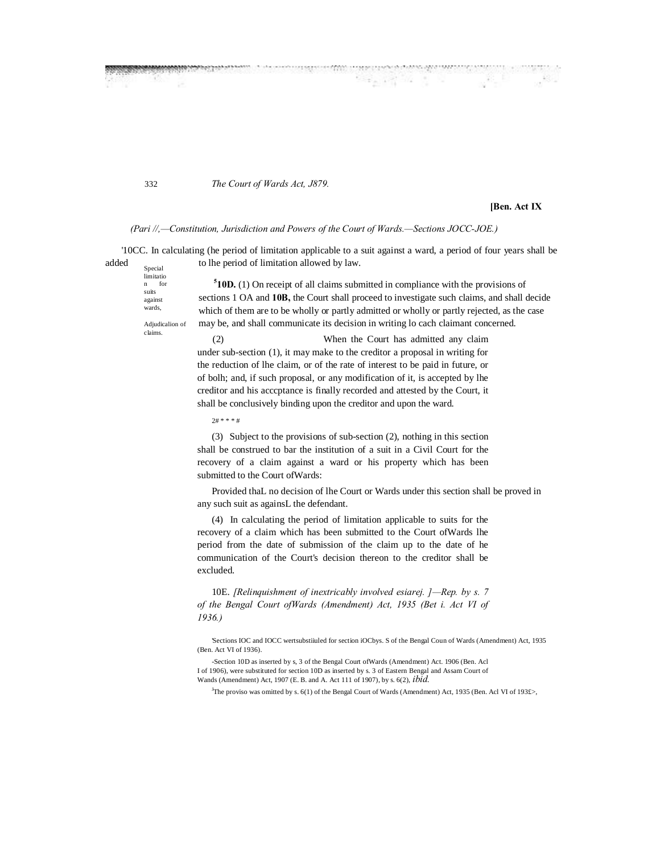*The Court of Wards Act, J879.*

## **[Ben. Act IX**

#### *(Pari //,—Constitution, Jurisdiction and Powers of the Court of Wards.—Sections JOCC-JOE.)*

Special '10CC. In calculating (he period of limitation applicable to a suit against a ward, a period of four years shall be added to lhe period of limitation allowed by law.

**DESCRIPTION** 

limitatio

for suits against wards,

Adjudicalion of claims.

332

**5 10D.** (1) On receipt of all claims submitted in compliance with the provisions of sections 1 OA and **10B,** the Court shall proceed to investigate such claims, and shall decide which of them are to be wholly or partly admitted or wholly or partly rejected, as the case may be, and shall communicate its decision in writing lo cach claimant concerned.

(2) When the Court has admitted any claim under sub-section (1), it may make to the creditor a proposal in writing for the reduction of lhe claim, or of the rate of interest to be paid in future, or of bolh; and, if such proposal, or any modification of it, is accepted by lhe creditor and his acccptance is finally recorded and attested by the Court, it shall be conclusively binding upon the creditor and upon the ward.

2# \* \* \* #

(3) Subject to the provisions of sub-section (2), nothing in this section shall be construed to bar the institution of a suit in a Civil Court for the recovery of a claim against a ward or his property which has been submitted to the Court ofWards:

Provided thaL no decision of lhe Court or Wards under this section shall be proved in any such suit as againsL the defendant.

(4) In calculating the period of limitation applicable to suits for the recovery of a claim which has been submitted to the Court ofWards lhe period from the date of submission of the claim up to the date of he communication of the Court's decision thereon to the creditor shall be excluded.

10E. *[Relinquishment of inextricably involved esiarej. ]—Rep. by s. 7 of the Bengal Court ofWards (Amendment) Act, 1935 (Bet i. Act VI of 1936.)*

'Sections IOC and IOCC wertsubstiiuled for section iOCbys. S of the Bengal Coun of Wards (Amendment) Act, 1935 (Ben. Act VI of 1936).

-Section 10D as inserted by s, 3 of the Bengal Court ofWards (Amendment) Act. 1906 (Ben. Acl I of 1906), were substituted for section 10D as inserted by s. 3 of Eastern Bengal and Assam Court of Wands (Amendment) Act, 1907 (E. B. and A. Act 111 of 1907), by s. 6(2), *ibid.*

J The proviso was omitted by s. 6(1) of the Bengal Court of Wards (Amendment) Act, 1935 (Ben. Acl VI of 193£>,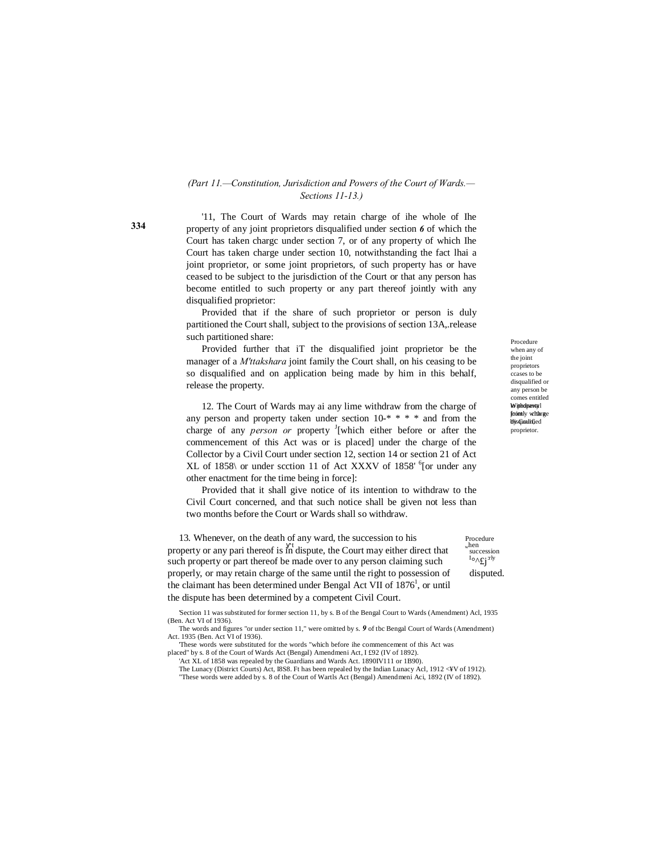## *(Part 11.—Constitution, Jurisdiction and Powers of the Court of Wards.— Sections 11-13.)*

'11, The Court of Wards may retain charge of ihe whole of Ihe property of any joint proprietors disqualified under section *6* of which the Court has taken chargc under section 7, or of any property of which Ihe Court has taken charge under section 10, notwithstanding the fact lhai a joint proprietor, or some joint proprietors, of such property has or have ceased to be subject to the jurisdiction of the Court or that any person has become entitled to such property or any part thereof jointly with any disqualified proprietor:

Provided that if the share of such proprietor or person is duly partitioned the Court shall, subject to the provisions of section 13A,.release such partitioned share:

Provided further that iT the disqualified joint proprietor be the manager of a *M'ttakshara* joint family the Court shall, on his ceasing to be so disqualified and on application being made by him in this behalf, release the property.

12. The Court of Wards may ai any lime withdraw from the charge of any person and property taken under section 10-\* \* \* \* and from the charge of any *person or* property <sup>J</sup>[which either before or after the commencement of this Act was or is placed] under the charge of the Collector by a Civil Court under section 12, section 14 or section 21 of Act XL of 1858\ or under scction 11 of Act XXXV of 1858' <sup>6</sup>[or under any other enactment for the time being in force]:

Provided that it shall give notice of its intention to withdraw to the Civil Court concerned, and that such notice shall be given not less than two months before the Court or Wards shall so withdraw.

13. Whenever, on the death of any ward, the succession to his  $\frac{1}{\text{speedure}}$  property or any pari thereof is in dispute, the Court may either direct that succession such property or part thereof be made over to any person claiming such properly, or may retain charge of the same until the right to possession of disputed. the claimant has been determined under Bengal Act VII of 1876<sup>1</sup>, or until the dispute has been determined by a competent Civil Court.

'Section 11 was substituted for former section 11, by s. B of the Bengal Court to Wards (Amendment) Acl, 1935 (Ben. Act VI of 1936).

The words and figures "or under section 11," were omitted by s. *9* of tbc Bengal Court of Wards (Amendment) Act. 1935 (Ben. Act VI of 1936). 'These words were substituted for the words "which before ihe commencement of this Act was

placed" by s. 8 of the Court of Wards Act (Bengal) Amendmeni Act, I £92 (IV of 1892).

'Act XL of 1858 was repealed by the Guardians and Wards Act. 1890IV111 or 1B90). The Lunacy (District Courts) Act, I8S8. Ft has been repealed by the Indian Lunacy Acl, 1912 <¥V of 1912).

"These words were added by s. 8 of the Court of Wartls Act (Bengal) Amendmeni Aci, 1892 (IV of 1892).

Withdpawal from ty with rge by Coun, disqualified Procedure when any of the joint proprietors ccases to be disqualified or any person be comes entitled proprietor.

 $I \circ \Lambda f j$ <sup>rly</sup>

**334**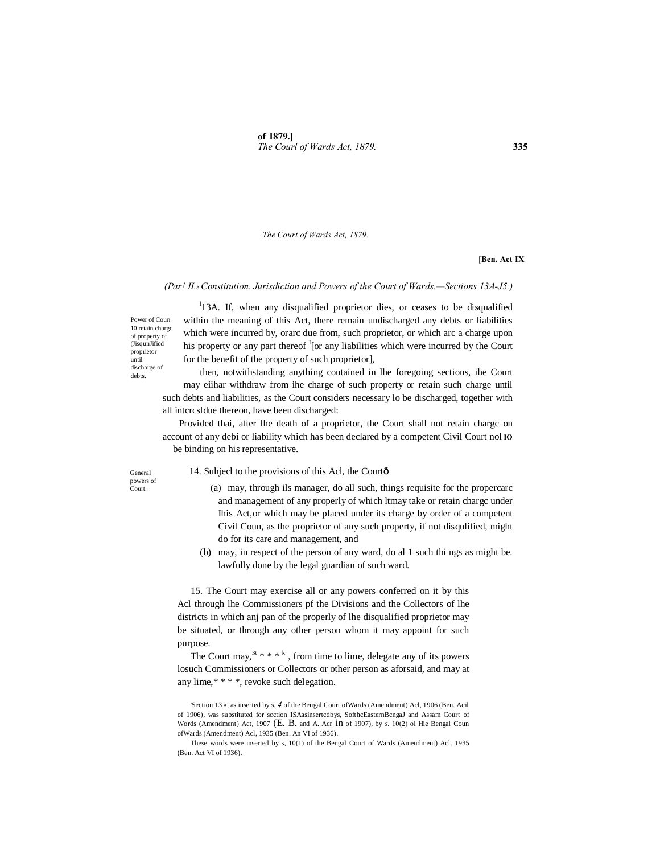*The Court of Wards Act, 1879.*

#### **[Ben. Act IX**

#### *(Par! II.*—*Constitution. Jurisdiction and Powers of the Court of Wards.—Sections 13A-J5.)*

Power of Coun 10 retain chargc of property of (JisqunJificd proprietor until discharge of debts.

<sup>1</sup>13A. If, when any disqualified proprietor dies, or ceases to be disqualified within the meaning of this Act, there remain undischarged any debts or liabilities which were incurred by, orarc due from, such proprietor, or which arc a charge upon his property or any part thereof  $I$ <sup>I</sup> [or any liabilities which were incurred by the Court for the benefit of the property of such proprietor],

then, notwithstanding anything contained in lhe foregoing sections, ihe Court may eiihar withdraw from ihe charge of such property or retain such charge until such debts and liabilities, as the Court considers necessary lo be discharged, together with all intcrcsldue thereon, have been discharged:

Provided thai, after lhe death of a proprietor, the Court shall not retain chargc on account of any debi or liability which has been declared by a competent Civil Court nol **IO** be binding on his representative.

General powers of Court.

#### 14. Suhjecl to the provisions of this Acl, the Courtô

- (a) may, through ils manager, do all such, things requisite for the propercarc and management of any properly of which ltmay take or retain chargc under Ihis Act,or which may be placed under its charge by order of a competent Civil Coun, as the proprietor of any such property, if not disqulified, might do for its care and management, and
- (b) may, in respect of the person of any ward, do al 1 such thi ngs as might be. lawfully done by the legal guardian of such ward.

15. The Court may exercise all or any powers conferred on it by this Acl through lhe Commissioners pf the Divisions and the Collectors of lhe districts in which anj pan of the properly of lhe disqualified proprietor may be situated, or through any other person whom it may appoint for such purpose.

The Court may,  $3t^* * * k$ , from time to lime, delegate any of its powers losuch Commissioners or Collectors or other person as aforsaid, and may at any lime,\* \* \* \*, revoke such delegation.

'Section 13 A, as inserted by s. *4* of the Bengal Court ofWards (Amendment) Acl, 1906 (Ben. Acil of 1906), was substituted for scction ISAasinsertcdbys, SofthcEasternBcngaJ and Assam Court of Words (Amendment) Act, 1907 (E. B. and A. Acr in of 1907), by s. 10(2) ol Hie Bengal Coun ofWards (Amendment) Acl, 1935 (Ben. An VI of 1936).

These words were inserted by s, 10(1) of the Bengal Court of Wards (Amendment) Acl. 1935 (Ben. Act VI of 1936).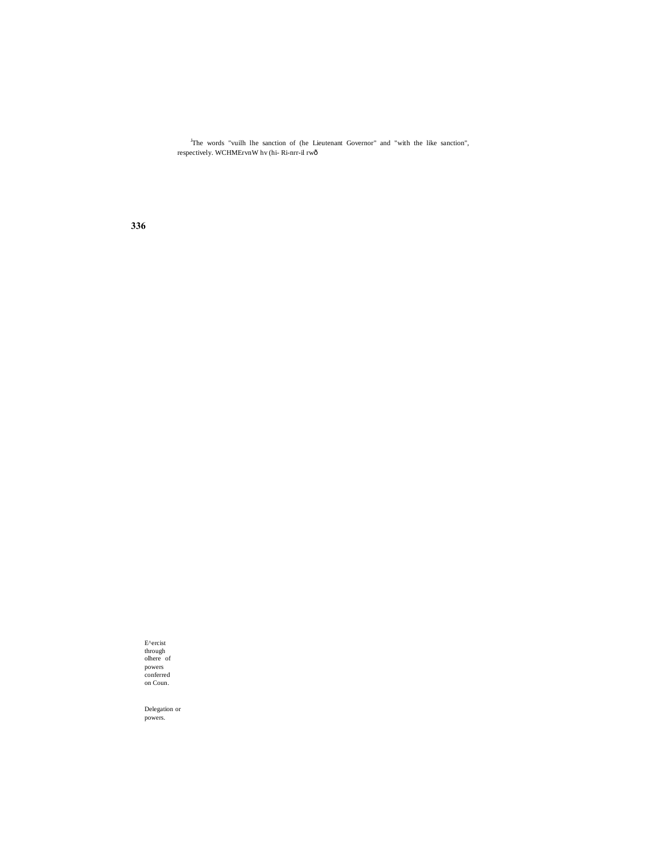<sup>J</sup>The words "vuilh lhe sanction of (he Lieutenant Governor" and "with the like sanction", respectively. WCHMErvnW hv (hi- Ri-nrr-il rw—

**336**

E^ercist through olhere of powers conferred on Coun.

Delegation or powers.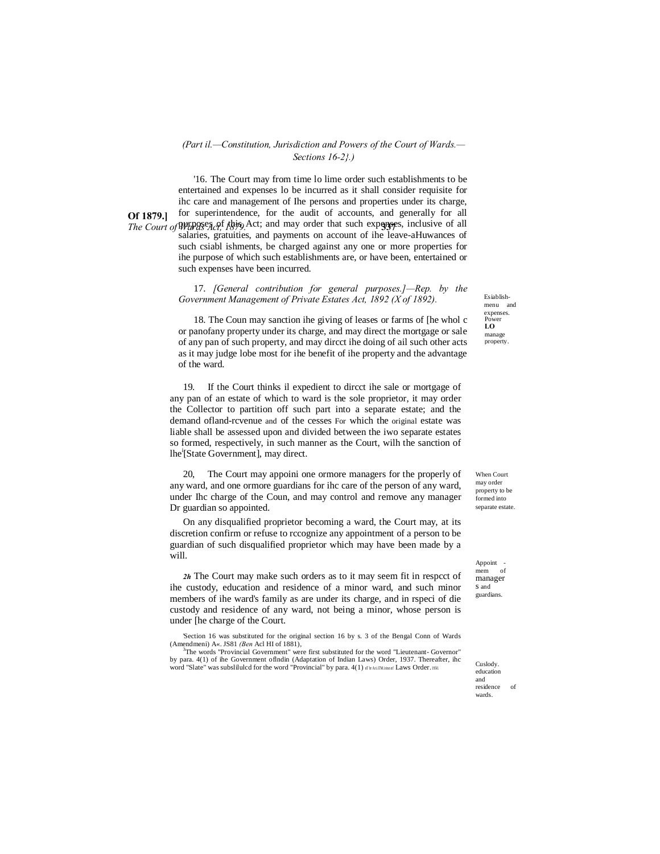#### *(Part il.—Constitution, Jurisdiction and Powers of the Court of Wards.— Sections 16-2}.)*

**Of 1879.]** The Court of Wards *Act*, this Act; and may order that such expenses, inclusive of all '16. The Court may from time lo lime order such establishments to be entertained and expenses lo be incurred as it shall consider requisite for ihc care and management of Ihe persons and properties under its charge, for superintendence, for the audit of accounts, and generally for all salaries, gratuities, and payments on account of ihe leave-aHuwances of such csiabl ishments, be charged against any one or more properties for ihe purpose of which such establishments are, or have been, entertained or such expenses have been incurred.

> 17. *[General contribution for general purposes.]—Rep. by the Government Management of Private Estates Act, 1892 (X of 1892).*

> 18. The Coun may sanction ihe giving of leases or farms of [he whol c or panofany property under its charge, and may direct the mortgage or sale of any pan of such property, and may dircct ihe doing of ail such other acts as it may judge lobe most for ihe benefit of ihe property and the advantage of the ward.

19. If the Court thinks il expedient to dircct ihe sale or mortgage of any pan of an estate of which to ward is the sole proprietor, it may order the Collector to partition off such part into a separate estate; and the demand ofland-rcvenue and of the cesses For which the original estate was liable shall be assessed upon and divided between the iwo separate estates so formed, respectively, in such manner as the Court, wilh the sanction of lhe<sup>i</sup> [State Government], may direct.

20, The Court may appoini one ormore managers for the properly of any ward, and one ormore guardians for ihc care of the person of any ward, under Ihc charge of the Coun, and may control and remove any manager Dr guardian so appointed.

On any disqualified proprietor becoming a ward, the Court may, at its discretion confirm or refuse to rccognize any appointment of a person to be guardian of such disqualified proprietor which may have been made by a will.

*2h* The Court may make such orders as to it may seem fit in respcct of ihe custody, education and residence of a minor ward, and such minor members of ihe ward's family as are under its charge, and in rspeci of die custody and residence of any ward, not being a minor, whose person is under [he charge of the Court.

'Section 16 was substituted for the original section 16 by s. 3 of the Bengal Conn of Wards (Amendmeni) A«. JS81 *(Ben* Acl HI of 1881), <sup>3</sup>

<sup>3</sup>The words "Provincial Government" were first substituted for the word "Lieutenant- Governor" by para. 4(1) of ihe Government oflndin (Adaptation of Indian Laws) Order, 1937. Thereafter, ihc Word "Slate" was subslilulcd for the word "Provincial" by para. 4(1)  $\pi$  Ir Ari.iTM.irinn nf Laws Order. 1950.

Esiablishmenu and expenses. Power **LO**  manage property.

When Court may order property to be formed into separate estate

Appoint -<br>mem of mem manager s and guardians.

**Cuslody** education and residence of wards.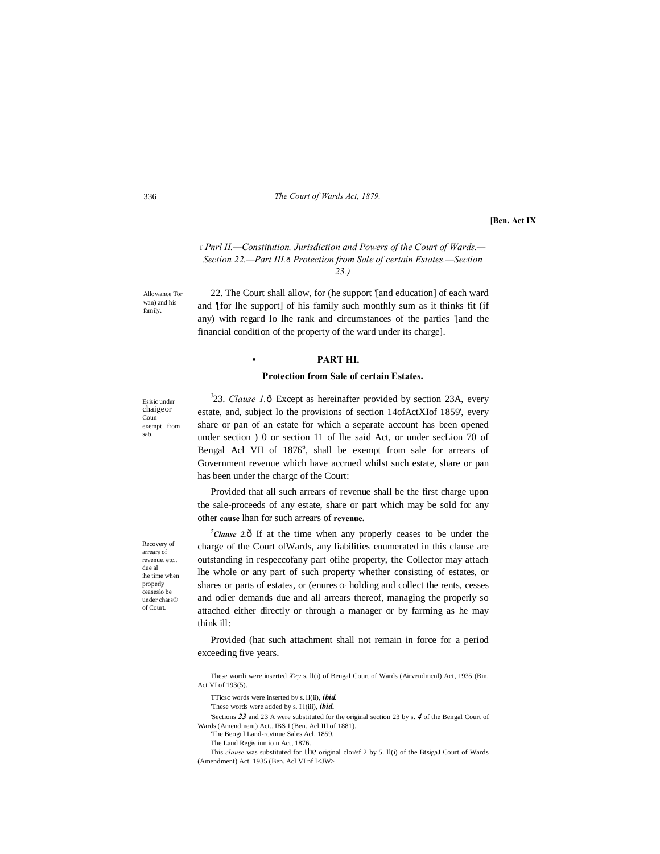336 *The Court of Wards Act, 1879.*

**[Ben. Act IX**

f *Pnrl II.—Constitution, Jurisdiction and Powers of the Court of Wards.— Section 22.—Part III.*—*Protection from Sale of certain Estates.—Section 23.)*

Allowance Tor wan) and his family.

22. The Court shall allow, for (he support '[and education] of each ward and '[for lhe support] of his family such monthly sum as it thinks fit (if any) with regard lo lhe rank and circumstances of the parties '[and the financial condition of the property of the ward under its charge].

## **• PART HI.**

#### **Protection from Sale of certain Estates.**

Esisic under chaigeor Coun exempt from sab.

<sup>J</sup>23. *Clause 1*.0 Except as hereinafter provided by section 23A, every estate, and, subject lo the provisions of section 14ofActXIof 1859', every share or pan of an estate for which a separate account has been opened under section ) 0 or section 11 of lhe said Act, or under secLion 70 of Bengal Acl VII of 1876<sup>6</sup>, shall be exempt from sale for arrears of Government revenue which have accrued whilst such estate, share or pan has been under the chargc of the Court:

Provided that all such arrears of revenue shall be the first charge upon the sale-proceeds of any estate, share or part which may be sold for any other **cause** lhan for such arrears of **revenue.**

<sup>7</sup>Clause 2. $\hat{O}$  If at the time when any properly ceases to be under the charge of the Court ofWards, any liabilities enumerated in this clause are outstanding in respeccofany part ofihe property, the Collector may attach lhe whole or any part of such property whether consisting of estates, or shares or parts of estates, or (enures Or holding and collect the rents, cesses and odier demands due and all arrears thereof, managing the properly so attached either directly or through a manager or by farming as he may think ill:

Provided (hat such attachment shall not remain in force for a period exceeding five years.

These wordi were inserted *X>y* s. ll(i) of Bengal Court of Wards (Airvendmcnl) Act, 1935 (Bin. Act VI of 193(5).

TTicsc words were inserted by s. ll(ii), *ibid.*

'These words were added by s. I l(iii), *ibid.*

'Sections *23* and 23 A were substituted for the original section 23 by s. *4* of the Bengal Court of Wards (Amendment) Act.. IBS I (Ben. Acl III of 1881).

'The Beogul Land-rcvtnue Sales Acl. 1859.

The Land Regis inn io n Act, 1876.

This *clause* was substituted for the original cloi/sf 2 by 5. Il(i) of the BtsigaJ Court of Wards (Amendment) Act. 1935 (Ben. Acl VI nf I<JW>

Recovery of arrears of revenue, etc.. due al ihe time when properly ceaseslo be under chars® of Court.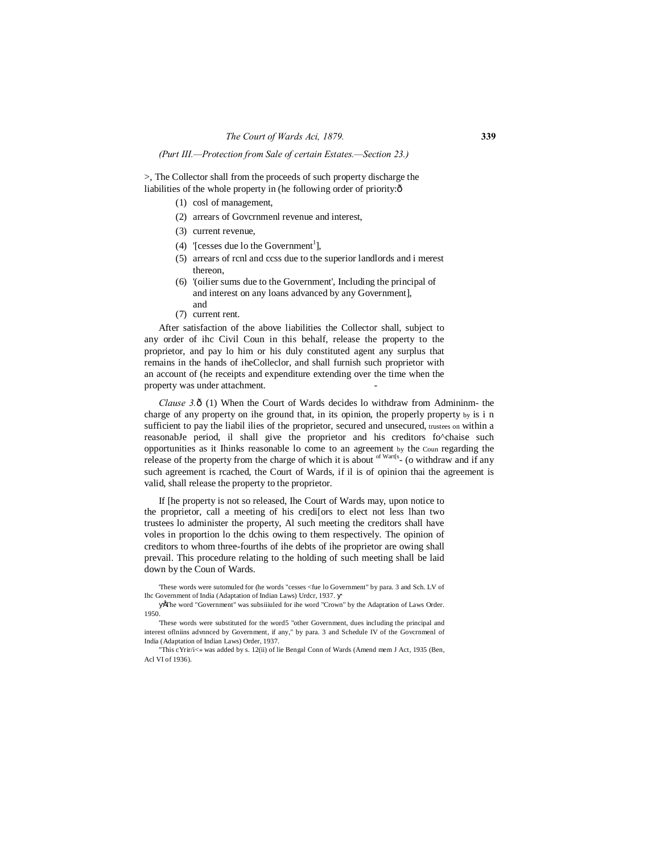### *(Purt III.—Protection from Sale of certain Estates.—Section 23.)*

>, The Collector shall from the proceeds of such property discharge the liabilities of the whole property in (he following order of priority: $\hat{o}$ 

- (1) cosl of management,
- (2) arrears of Govcrnmenl revenue and interest,
- (3) current revenue,
- (4) '[cesses due lo the Government<sup>1</sup>],
- (5) arrears of rcnl and ccss due to the superior landlords and i merest thereon,
- (6) '(oilier sums due to the Government', Including the principal of and interest on any loans advanced by any Government], and
- (7) current rent.

After satisfaction of the above liabilities the Collector shall, subject to any order of ihc Civil Coun in this behalf, release the property to the proprietor, and pay lo him or his duly constituted agent any surplus that remains in the hands of iheColleclor, and shall furnish such proprietor with an account of (he receipts and expenditure extending over the time when the property was under attachment.

*Clause 3.* ô(1) When the Court of Wards decides lo withdraw from Admininm- the charge of any property on ihe ground that, in its opinion, the properly property by is i n sufficient to pay the liabil ilies of the proprietor, secured and unsecured, trustees on within a reasonabJe period, il shall give the proprietor and his creditors fo^chaise such opportunities as it Ihinks reasonable lo come to an agreement by the Coun regarding the release of the property from the charge of which it is about  $\frac{d}{dx}$  (o withdraw and if any such agreement is rcached, the Court of Wards, if il is of opinion thai the agreement is valid, shall release the property to the proprietor.

If [he property is not so released, Ihe Court of Wards may, upon notice to the proprietor, call a meeting of his credi[ors to elect not less lhan two trustees lo administer the property, Al such meeting the creditors shall have voles in proportion lo the dchis owing to them respectively. The opinion of creditors to whom three-fourths of ihe debts of ihe proprietor are owing shall prevail. This procedure relating to the holding of such meeting shall be laid down by the Coun of Wards.

'These words were sutomuled for (he words "cesses <fue lo Government" by para. 3 and Sch. LV of Ihc Government of India (Adaptation of Indian Laws) Urdcr, 1937.

•The word "Government" was subsiiiuled for ihe word "Crown" by the Adaptation of Laws Order. 1950.

'These words were substituted for the word5 "other Government, dues including the principal and interest oflniins advnnced by Government, if any," by para. 3 and Schedule IV of the Govcrnmenl of India (Adaptation of Indian Laws) Order, 1937.

"This cYrir/i<» was added by s. 12(ii) of lie Bengal Conn of Wards (Amend mem J Act, 1935 (Ben, Acl VI of 1936).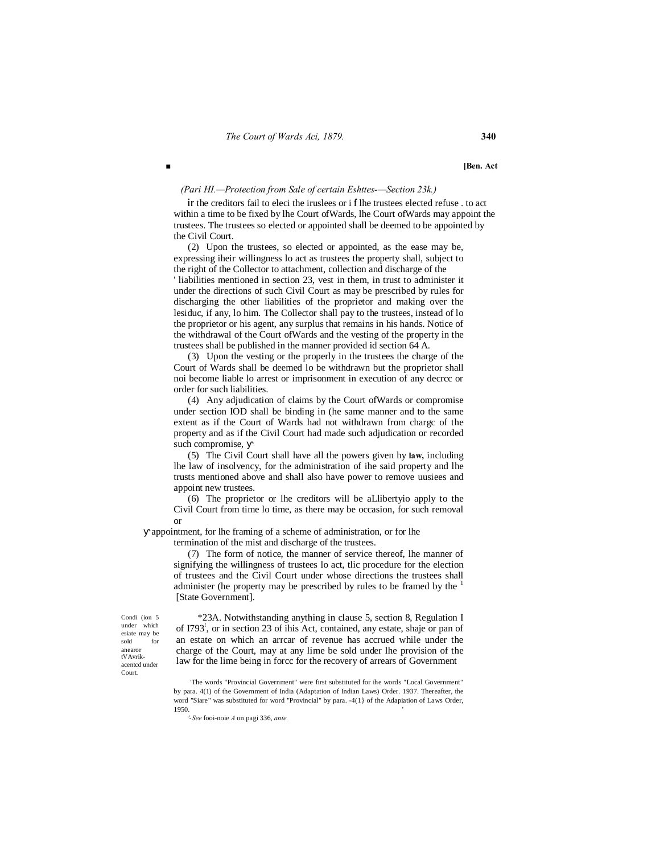■ **Ben.** Act

#### *(Pari HI.—Protection from Sale of certain Eshttes-—Section 23k.)*

**ir** the creditors fail to eleci the iruslees or i **f** lhe trustees elected refuse . to act within a time to be fixed by lhe Court ofWards, lhe Court ofWards may appoint the trustees. The trustees so elected or appointed shall be deemed to be appointed by the Civil Court.

(2) Upon the trustees, so elected or appointed, as the ease may be, expressing iheir willingness lo act as trustees the property shall, subject to the right of the Collector to attachment, collection and discharge of the

' liabilities mentioned in section 23, vest in them, in trust to administer it under the directions of such Civil Court as may be prescribed by rules for discharging the other liabilities of the proprietor and making over the lesiduc, if any, lo him. The Collector shall pay to the trustees, instead of lo the proprietor or his agent, any surplus that remains in his hands. Notice of the withdrawal of the Court ofWards and the vesting of the property in the trustees shall be published in the manner provided id section 64 A.

(3) Upon the vesting or the properly in the trustees the charge of the Court of Wards shall be deemed lo be withdrawn but the proprietor shall noi become liable lo arrest or imprisonment in execution of any decrcc or order for such liabilities.

(4) Any adjudication of claims by the Court ofWards or compromise under section IOD shall be binding in (he same manner and to the same extent as if the Court of Wards had not withdrawn from chargc of the property and as if the Civil Court had made such adjudication or recorded such compromise,

(5) The Civil Court shall have all the powers given hy **law,** including lhe law of insolvency, for the administration of ihe said property and lhe trusts mentioned above and shall also have power to remove uusiees and appoint new trustees.

(6) The proprietor or lhe creditors will be aLlibertyio apply to the Civil Court from time lo time, as there may be occasion, for such removal or

appointment, for lhe framing of a scheme of administration, or for lhe

termination of the mist and discharge of the trustees.

(7) The form of notice, the manner of service thereof, lhe manner of signifying the willingness of trustees lo act, tlic procedure for the election of trustees and the Civil Court under whose directions the trustees shall administer (he property may be prescribed by rules to be framed by the [State Government].

Condi (ion 5 under which esiate may be sold for anearor tVAvrikacentcd under Court.

\*23A. Notwithstanding anything in clause 5, section 8, Regulation I of I793! , or in section 23 of ihis Act, contained, any estate, shaje or pan of an estate on which an arrcar of revenue has accrued while under the charge of the Court, may at any lime be sold under lhe provision of the law for the lime being in forcc for the recovery of arrears of Government

'The words "Provincial Government" were first substituted for ihe words "Local Government" by para. 4(1) of the Government of India (Adaptation of Indian Laws) Order. 1937. Thereafter, the word "Siare" was substituted for word "Provincial" by para. -4(1} of the Adapiation of Laws Order, 1950. '

*'-See* fooi-noie *A* on pagi 336, *ante.*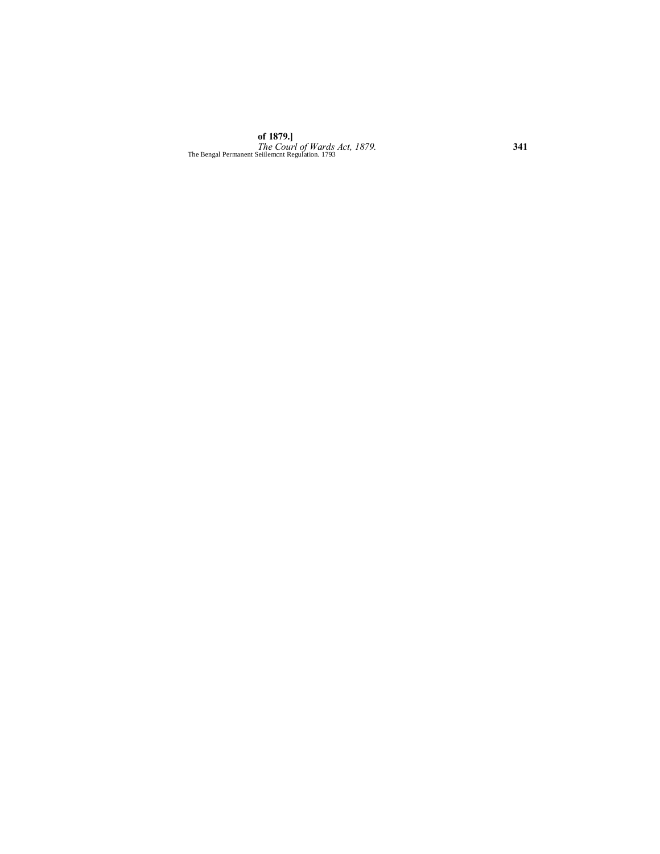**of 1879.]** *The Courl of Wards Act, 1879.* **341** The Bengal Permanent Seiilemcnt Regulation. 1793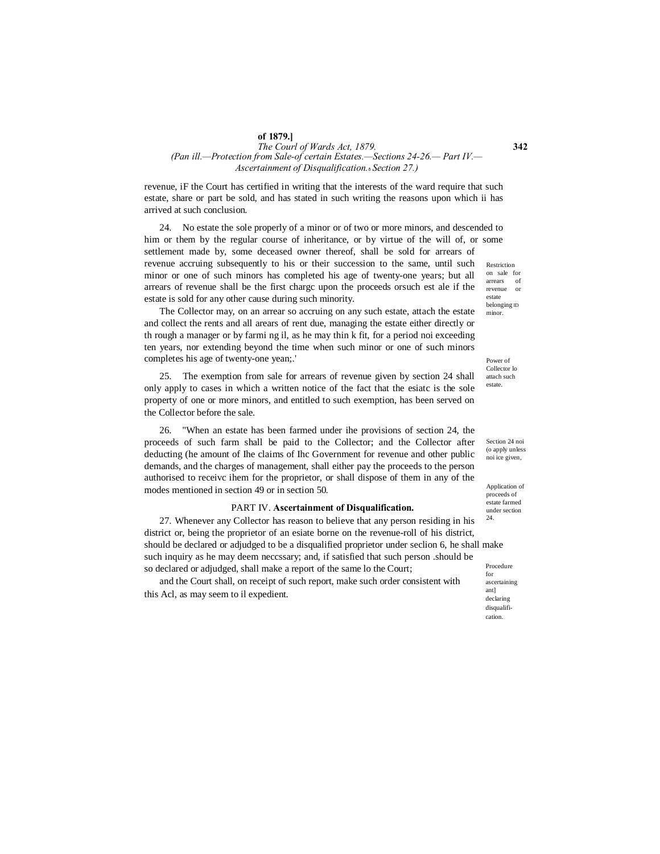#### **of 1879.]**

## *The Courl of Wards Act, 1879.* **342** *(Pan ill.—Protection from Sale-of certain Estates.—Sections 24-26.— Part IV.— Ascertainment of Disqualification.*—*Section 27.)*

revenue, iF the Court has certified in writing that the interests of the ward require that such estate, share or part be sold, and has stated in such writing the reasons upon which ii has arrived at such conclusion.

estate 24. No estate the sole properly of a minor or of two or more minors, and descended to him or them by the regular course of inheritance, or by virtue of the will of, or some settlement made by, some deceased owner thereof, shall be sold for arrears of revenue accruing subsequently to his or their succession to the same, until such minor or one of such minors has completed his age of twenty-one years; but all arrears of revenue shall be the first chargc upon the proceeds orsuch est ale if the estate is sold for any other cause during such minority.

The Collector may, on an arrear so accruing on any such estate, attach the estate and collect the rents and all arears of rent due, managing the estate either directly or th rough a manager or by farmi ng il, as he may thin k fit, for a period noi exceeding ten years, nor extending beyond the time when such minor or one of such minors completes his age of twenty-one yean;.'

25. The exemption from sale for arrears of revenue given by section 24 shall only apply to cases in which a written notice of the fact that the esiatc is the sole property of one or more minors, and entitled to such exemption, has been served on the Collector before the sale.

26. "When an estate has been farmed under ihe provisions of section 24, the proceeds of such farm shall be paid to the Collector; and the Collector after deducting (he amount of Ihe claims of Ihc Government for revenue and other public demands, and the charges of management, shall either pay the proceeds to the person authorised to receivc ihem for the proprietor, or shall dispose of them in any of the modes mentioned in section 49 or in section 50.

#### PART IV. **Ascertainment of Disqualification.**

27. Whenever any Collector has reason to believe that any person residing in his district or, being the proprietor of an esiate borne on the revenue-roll of his district, should be declared or adjudged to be a disqualified proprietor under seclion 6, he shall make such inquiry as he may deem neccssary; and, if satisfied that such person .should be so declared or adjudged, shall make a report of the same lo the Court;

and the Court shall, on receipt of such report, make such order consistent with this Acl, as may seem to il expedient.

Restriction on sale for arrears of revenue or belonging ID minor.

Power of Collector lo attach such estate.

Section 24 noi (o apply unless noi ice given,

Application of proceeds of estate farmed under section 24.

Procedure for ascertaining ant] declaring disqualification.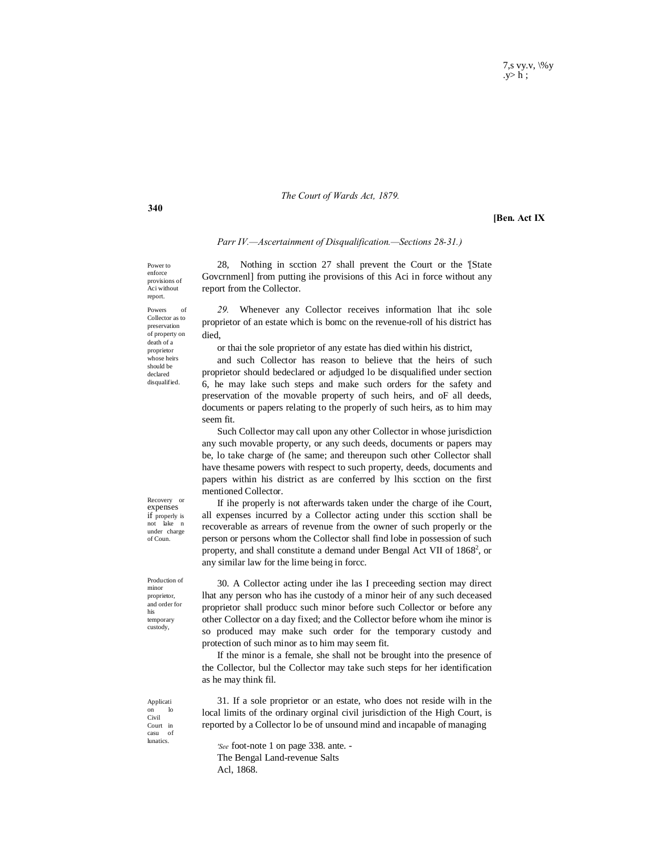### *The Court of Wards Act, 1879.*

**[Ben. Act IX**

#### *Parr IV.—Ascertainment of Disqualification.—Sections 28-31.)*

Power to enforce provisions of Aci without report.

report from the Collector.

Powers Collector as to preservation of property on death of a proprietor whose heirs should be declared disqualified.

*29.* Whenever any Collector receives information lhat ihc sole proprietor of an estate which is bomc on the revenue-roll of his district has died,

28, Nothing in scction 27 shall prevent the Court or the '[State Govcrnmenl] from putting ihe provisions of this Aci in force without any

or thai the sole proprietor of any estate has died within his district,

and such Collector has reason to believe that the heirs of such proprietor should bedeclared or adjudged lo be disqualified under section 6, he may lake such steps and make such orders for the safety and preservation of the movable property of such heirs, and oF all deeds, documents or papers relating to the properly of such heirs, as to him may seem fit.

Such Collector may call upon any other Collector in whose jurisdiction any such movable property, or any such deeds, documents or papers may be, lo take charge of (he same; and thereupon such other Collector shall have thesame powers with respect to such property, deeds, documents and papers within his district as are conferred by lhis scction on the first mentioned Collector.

If ihe properly is not afterwards taken under the charge of ihe Court, all expenses incurred by a Collector acting under this scction shall be recoverable as arrears of revenue from the owner of such properly or the person or persons whom the Collector shall find lobe in possession of such property, and shall constitute a demand under Bengal Act VII of  $1868^2$ , or any similar law for the lime being in forcc.

30. A Collector acting under ihe las I preceeding section may direct lhat any person who has ihe custody of a minor heir of any such deceased proprietor shall producc such minor before such Collector or before any other Collector on a day fixed; and the Collector before whom ihe minor is so produced may make such order for the temporary custody and protection of such minor as to him may seem fit.

If the minor is a female, she shall not be brought into the presence of the Collector, bul the Collector may take such steps for her identification as he may think fil.

31. If a sole proprietor or an estate, who does not reside wilh in the local limits of the ordinary orginal civil jurisdiction of the High Court, is reported by a Collector lo be of unsound mind and incapable of managing

*'See* foot-note 1 on page 338. ante. - The Bengal Land-revenue Salts Acl, 1868.

Recovery or expenses if properly is not lake under charge

of Coun.

Production of minor proprietor, and order for his temporary custody,

Applicati on lo Civil Court in casu of lunatics.

**340**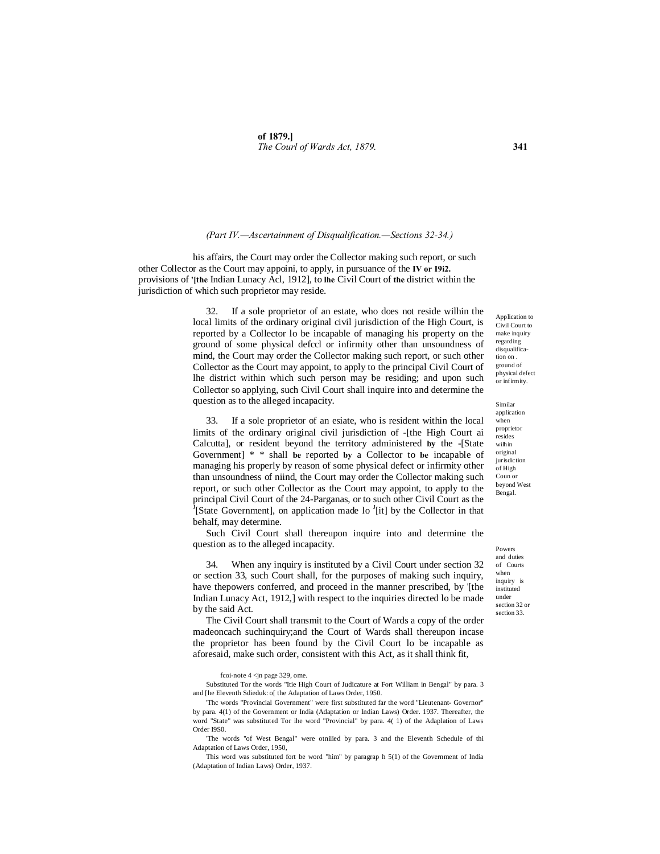#### *(Part IV.—Ascertainment of Disqualification.—Sections 32-34.)*

his affairs, the Court may order the Collector making such report, or such other Collector as the Court may appoini, to apply, in pursuance of the **IV or I9i2.** provisions of **'[the** Indian Lunacy Acl, 1912], to **lhe** Civil Court of **the** district within the jurisdiction of which such proprietor may reside.

> 32. If a sole proprietor of an estate, who does not reside wilhin the local limits of the ordinary original civil jurisdiction of the High Court, is reported by a Collector lo be incapable of managing his property on the ground of some physical defccl or infirmity other than unsoundness of mind, the Court may order the Collector making such report, or such other Collector as the Court may appoint, to apply to the principal Civil Court of lhe district within which such person may be residing; and upon such Collector so applying, such Civil Court shall inquire into and determine the question as to the alleged incapacity.

> 33. If a sole proprietor of an esiate, who is resident within the local limits of the ordinary original civil jurisdiction of -[the High Court ai Calcutta], or resident beyond the territory administered **by** the -[State Government] \* \* shall **be** reported **by** a Collector to **be** incapable of managing his properly by reason of some physical defect or infirmity other than unsoundness of niind, the Court may order the Collector making such report, or such other Collector as the Court may appoint, to apply to the principal Civil Court of the 24-Parganas, or to such other Civil Court as the [State Government], on application made lo <sup>J</sup>[it] by the Collector in that behalf, may determine.

> Such Civil Court shall thereupon inquire into and determine the question as to the alleged incapacity.

> 34. When any inquiry is instituted by a Civil Court under section 32 or section 33, such Court shall, for the purposes of making such inquiry, have thepowers conferred, and proceed in the manner prescribed, by '[the Indian Lunacy Act, 1912,] with respect to the inquiries directed lo be made by the said Act.

> The Civil Court shall transmit to the Court of Wards a copy of the order madeoncach suchinquiry;and the Court of Wards shall thereupon incase the proprietor has been found by the Civil Court lo be incapable as aforesaid, make such order, consistent with this Act, as it shall think fit,

fcoi-note 4 <jn page 329, ome.

Substituted Tor the words "Itie High Court of Judicature at Fort William in Bengal" by para. 3 and [he Eleventh Sdieduk: o[ the Adaptation of Laws Order, 1950.

'Thc words "Provincial Government" were first substituted far the word ''Lieutenant- Governor" by para. 4(1) of the Government or India (Adaptation or Indian Laws) Order. 1937. Thereafter, the word "State" was substituted Tor ihe word "Provincial" by para. 4( 1) of the Adaplation of Laws Order I9S0.

'The words "of West Bengal" were otniiied by para. 3 and the Eleventh Schedule of thi Adaptation of Laws Order, 1950,

This word was substituted fort be word "him" by paragrap h 5(1) of the Government of India (Adaptation of Indian Laws) Order, 1937.

Application to Civil Court to make inquiry regarding disqualification on . ground of physical defect or infirmity.

Similar application when proprietor resides wilhin original jurisdiction of High Coun or beyond West Bengal.

Powers and duties of Courts when inquiry is instituted under section 32 or section 33.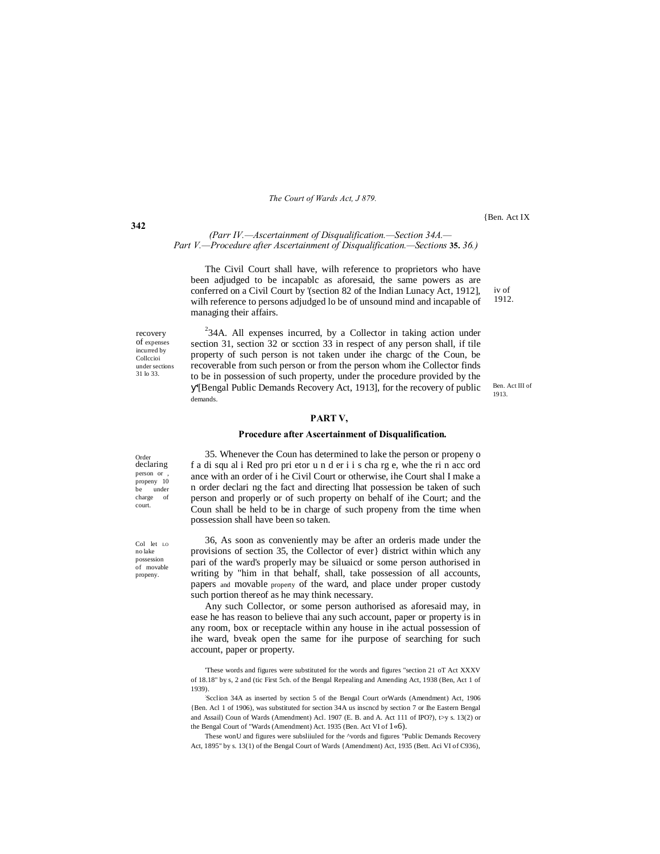*The Court of Wards Act, J 879.*

{Ben. Act IX

iv of 1912.

*(Parr IV.—Ascertainment of Disqualification.—Section 34A.— Part V.—Procedure after Ascertainment of Disqualification.—Sections* **35.** *36.)*

The Civil Court shall have, wilh reference to proprietors who have been adjudged to be incapablc as aforesaid, the same powers as are conferred on a Civil Court by '(section 82 of the Indian Lunacy Act, 1912], wilh reference to persons adjudged lo be of unsound mind and incapable of managing their affairs.

recovery of expenses incurred by Collccioi under sections 31 lo 33.

 $2^{2}$ 34A. All expenses incurred, by a Collector in taking action under section 31, section 32 or scction 33 in respect of any person shall, if tile property of such person is not taken under ihe chargc of the Coun, be recoverable from such person or from the person whom ihe Collector finds to be in possession of such property, under the procedure provided by the

'[Bengal Public Demands Recovery Act, 1913], for the recovery of public demands.

#### **PART V,**

#### **Procedure after Ascertainment of Disqualification.**

Order declaring person or propeny 10 under charge of court.

Col let LO no lake possession of movable propeny.

35. Whenever the Coun has determined to lake the person or propeny o f a di squ al i Red pro pri etor u n d er i i s cha rg e, whe the ri n acc ord ance with an order of i he Civil Court or otherwise, ihe Court shal I make a n order declari ng the fact and directing lhat possession be taken of such person and properly or of such property on behalf of ihe Court; and the Coun shall be held to be in charge of such propeny from the time when possession shall have been so taken.

36, As soon as conveniently may be after an orderis made under the provisions of section 35, the Collector of ever} district within which any pari of the ward's properly may be siluaicd or some person authorised in writing by "him in that behalf, shall, take possession of all accounts, papers and movable property of the ward, and place under proper custody such portion thereof as he may think necessary.

Any such Collector, or some person authorised as aforesaid may, in ease he has reason to believe thai any such account, paper or property is in any room, box or receptacle within any house in ihe actual possession of ihe ward, bveak open the same for ihe purpose of searching for such account, paper or property.

: Scclion 34A as inserted by section 5 of the Bengal Court orWards (Amendment) Act, 1906 {Ben. Acl 1 of 1906), was substituted for section 34A us inscncd by section 7 or Ihe Eastern Bengal and Assail) Coun of Wards (Amendment) Acl. 1907 (E. B. and A. Act 111 of IPO?), t>y s. 13(2) or the Bengal Court of "Wards (Amendment) Act. 1935 (Ben. Act VI of 1«6).

These wonU and figures were subsliiuled for the ^vords and figures "Public Demands Recovery Act, 1895" by s. 13(1) of the Bengal Court of Wards {Amendment) Act, 1935 (Bett. Aci VI of C936),

Ben. Act III of 1913.

**342**

<sup>&#</sup>x27;These words and figures were substituted for the words and figures "section 21 oT Act XXXV of 18.18" by s, 2 and (tic First 5ch. of the Bengal Repealing and Amending Act, 1938 (Ben, Act 1 of 1939).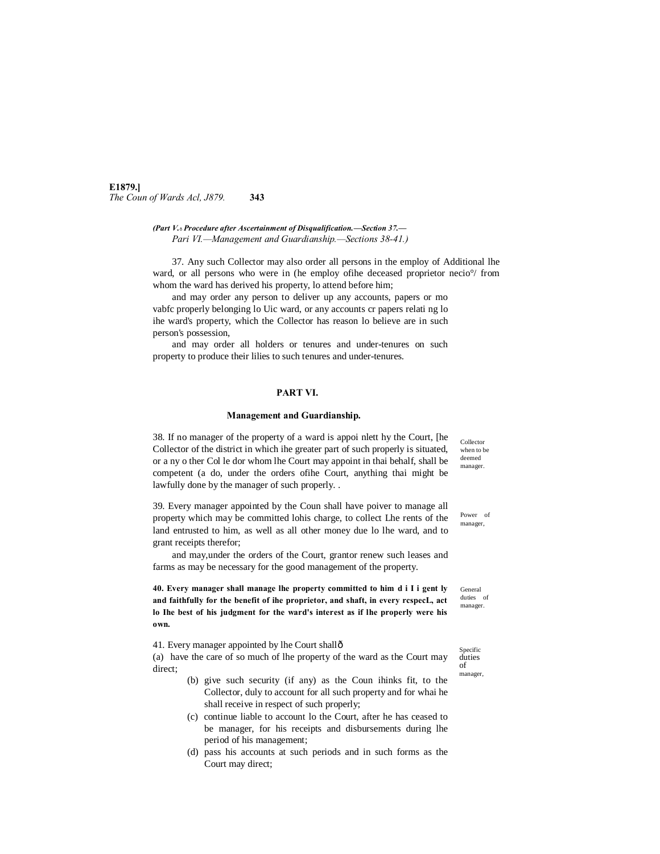**E1879.]** *The Coun of Wards Acl, J879.* **343**

> *(Part V.*—*Procedure after Ascertainment of Disqualification.—Section 37.— Pari VI.—Management and Guardianship.—Sections 38-41.)*

37. Any such Collector may also order all persons in the employ of Additional lhe ward, or all persons who were in (he employ of the deceased proprietor necio<sup>o</sup>/ from whom the ward has derived his property, lo attend before him;

and may order any person to deliver up any accounts, papers or mo vabfc properly belonging lo Uic ward, or any accounts cr papers relati ng lo ihe ward's property, which the Collector has reason lo believe are in such person's possession,

and may order all holders or tenures and under-tenures on such property to produce their lilies to such tenures and under-tenures.

## **PART VI.**

#### **Management and Guardianship.**

38. If no manager of the property of a ward is appoi nlett hy the Court, [he Collector of the district in which ihe greater part of such properly is situated, or a ny o ther Col le dor whom lhe Court may appoint in thai behalf, shall be competent (a do, under the orders ofihe Court, anything thai might be lawfully done by the manager of such properly. .

39. Every manager appointed by the Coun shall have poiver to manage all property which may be committed lohis charge, to collect Lhe rents of the land entrusted to him, as well as all other money due lo lhe ward, and to grant receipts therefor;

and may,under the orders of the Court, grantor renew such leases and farms as may be necessary for the good management of the property.

**40. Every manager shall manage lhe property committed to him d i I i gent ly and faithfully for the benefit of ihe proprietor, and shaft, in every rcspecL, act lo Ihe best of his judgment for the ward's interest as if lhe properly were his own.**

41. Every manager appointed by lhe Court shall—

(a) have the care of so much of lhe property of the ward as the Court may direct;

- (b) give such security (if any) as the Coun ihinks fit, to the Collector, duly to account for all such property and for whai he shall receive in respect of such properly;
- (c) continue liable to account lo the Court, after he has ceased to be manager, for his receipts and disbursements during lhe period of his management;
- (d) pass his accounts at such periods and in such forms as the Court may direct;

when to be deemed manager.

Collector

Power of manager,

General duties of manager.

Specific duties of manager,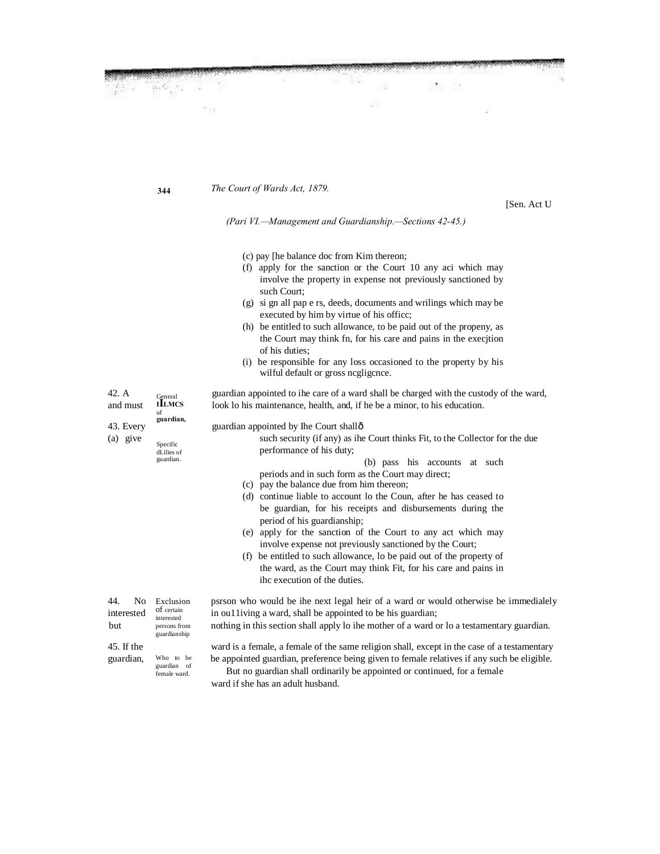**344** *The Court of Wards Act, 1879.*

[Sen. Act U

*(Pari VI.—Management and Guardianship.—Sections 42-45.)*

(c) pay [he balance doc from Kim thereon;

- (f) apply for the sanction or the Court 10 any aci which may involve the property in expense not previously sanctioned by such Court;
- (g) si gn all pap e rs, deeds, documents and wrilings which may be executed by him by virtue of his officc;
- (h) be entitled to such allowance, to be paid out of the propeny, as the Court may think fn, for his care and pains in the execjtion of his duties;
- (i) be responsible for any loss occasioned to the property by his wilful default or gross ncgligcnce.

42. A guardian appointed to ihe care of a ward shall be charged with the custody of the ward, and must **ILMCS** look lo his maintenance, health, and, if he be a minor, to his education.

General<br>**I LLMCS** uf **guardian,** Specific dLilies of guardian. Exclusion of certain interested persons from guardianship Who to be guardian of female ward. 43. Every guardian appointed by Ihe Court shall  $\hat{0}$ (a) give such security (if any) as ihe Court thinks Fit, to the Collector for the due performance of his duty; (b) pass his accounts at such periods and in such form as the Court may direct; (c) pay the balance due from him thereon; (d) continue liable to account lo the Coun, after he has ceased to be guardian, for his receipts and disbursements during the period of his guardianship; (e) apply for the sanction of the Court to any act which may involve expense not previously sanctioned by the Court; (f) be entitled to such allowance, lo be paid out of the property of the ward, as the Court may think Fit, for his care and pains in ihc execution of the duties. 44. No Exclusion psrson who would be ihe next legal heir of a ward or would otherwise be immedialely interested of certain in ou11iving a ward, shall be appointed to be his guardian; but persons from nothing in this section shall apply lo ihe mother of a ward or lo a testamentary guardian. 45. If the ward is a female, a female of the same religion shall, except in the case of a testamentary guardian, Who to be appointed guardian, preference being given to female relatives if any such be eligible. But no guardian shall ordinarily be appointed or continued, for a female ward if she has an adult husband.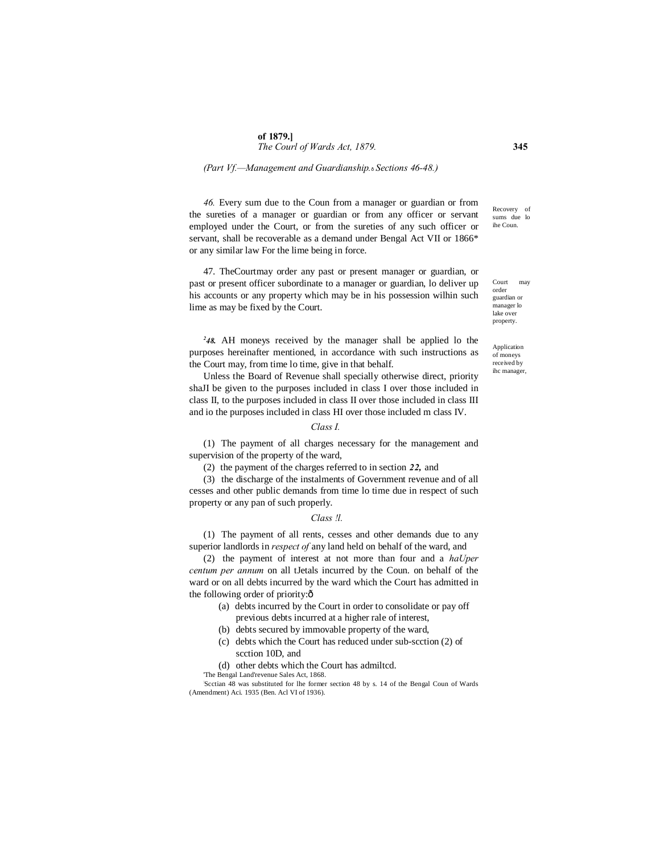#### *(Part Vf.—Management and Guardianship.*—*Sections 46-48.)*

*46.* Every sum due to the Coun from a manager or guardian or from the sureties of a manager or guardian or from any officer or servant employed under the Court, or from the sureties of any such officer or servant, shall be recoverable as a demand under Bengal Act VII or 1866\* or any similar law For the lime being in force.

47. TheCourtmay order any past or present manager or guardian, or past or present officer subordinate to a manager or guardian, lo deliver up his accounts or any property which may be in his possession wilhin such lime as may be fixed by the Court.

*2 48.* AH moneys received by the manager shall be applied lo the purposes hereinafter mentioned, in accordance with such instructions as the Court may, from time lo time, give in that behalf.

Unless the Board of Revenue shall specially otherwise direct, priority shaJI be given to the purposes included in class I over those included in class II, to the purposes included in class II over those included in class III and io the purposes included in class HI over those included m class IV.

## *Class I.*

(1) The payment of all charges necessary for the management and supervision of the property of the ward,

(2) the payment of the charges referred to in section *22,* and

(3) the discharge of the instalments of Government revenue and of all cesses and other public demands from time lo time due in respect of such property or any pan of such properly.

#### *Class !l.*

(1) The payment of all rents, cesses and other demands due to any superior landlords in *respect of* any land held on behalf of the ward, and

(2) the payment of interest at not more than four and a *haUper centum per annum* on all tJetals incurred by the Coun. on behalf of the ward or on all debts incurred by the ward which the Court has admitted in the following order of priority: $\hat{o}$ 

- (a) debts incurred by the Court in order to consolidate or pay off previous debts incurred at a higher rale of interest,
- (b) debts secured by immovable property of the ward,
- (c) debts which the Court has reduced under sub-scction (2) of scction 10D, and
- (d) other debts which the Court has admiltcd.

'The Bengal Land'revenue Sales Act, 1868.

: Scctian 48 was substituted for lhe former section 48 by s. 14 of the Bengal Coun of Wards (Amendment) Aci. 1935 (Ben. Acl VI of 1936).

Recovery of sums due lo ihe Coun.

Court may order guardian or manager lo lake over property.

Application of moneys received by ihc manager,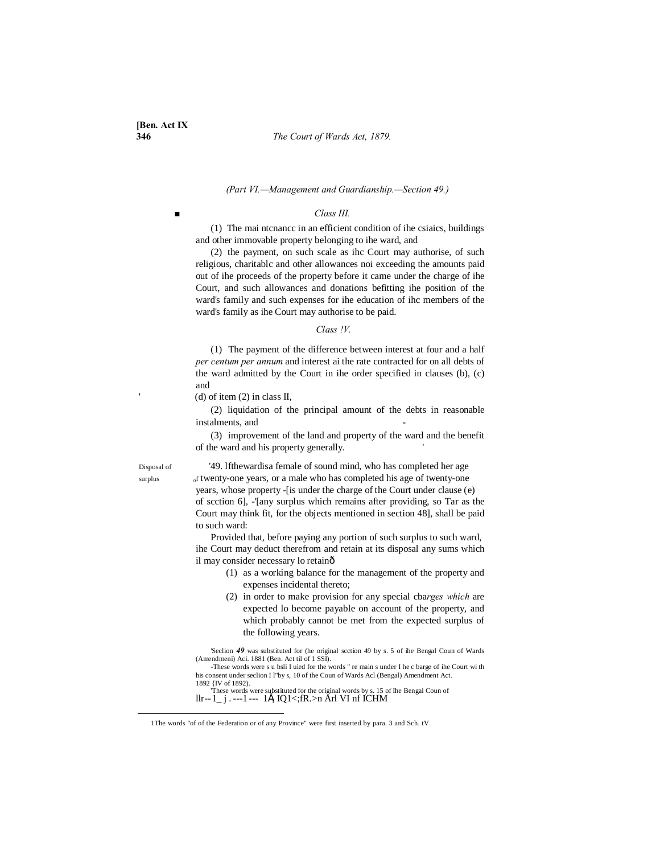#### **346** *The Court of Wards Act, 1879.*

#### *(Part VI.—Management and Guardianship.—Section 49.)*

## *■ Class III.*

(1) The mai ntcnancc in an efficient condition of ihe csiaics, buildings and other immovable property belonging to ihe ward, and

(2) the payment, on such scale as ihc Court may authorise, of such religious, charitablc and other allowances noi exceeding the amounts paid out of ihe proceeds of the property before it came under the charge of ihe Court, and such allowances and donations befitting ihe position of the ward's family and such expenses for ihe education of ihc members of the ward's family as ihe Court may authorise to be paid.

#### *Class !V.*

(1) The payment of the difference between interest at four and a half *per centum per annum* and interest ai the rate contracted for on all debts of the ward admitted by the Court in ihe order specified in clauses (b), (c) and

(d) of item (2) in class II,

(2) liquidation of the principal amount of the debts in reasonable instalments, and

(3) improvement of the land and property of the ward and the benefit of the ward and his property generally. '

Disposal of '49. lfthewardisa female of sound mind, who has completed her age surplus  $\delta$  of twenty-one years, or a male who has completed his age of twenty-one years, whose property -[is under the charge of the Court under clause (e) of scction 6], -'[any surplus which remains after providing, so Tar as the Court may think fit, for the objects mentioned in section 48], shall be paid to such ward:

> Provided that, before paying any portion of such surplus to such ward, ihe Court may deduct therefrom and retain at its disposal any sums which il may consider necessary lo retainô

- (1) as a working balance for the management of the property and expenses incidental thereto;
- (2) in order to make provision for any special cba*rges which* are expected lo become payable on account of the property, and which probably cannot be met from the expected surplus of the following years.

'Seclion *49* was substituted for (he original scction 49 by s. 5 of ihe Bengal Coun of Wards (Amendmeni) Aci. 1881 (Ben. Act til of 1 SSI).

-These words were s u bsli I uied for the words " re main s under I he c barge of ihe Court wi th his consent under seclion I l"by s, 10 of the Coun of Wards Acl (Bengal) Amendment Act. 1892 {IV of 1892).

These words were substituted for the original words by s. 15 of Ihe Bengal Coun of  $llr-1$ ,  $j \ldots-1$  ---  $1 \pm j \cdot 1 \pm j$   $N \geq 1 \pm j$ 

 <sup>1</sup>The words "of of the Federation or of any Province" were first inserted by para. 3 and Sch. tV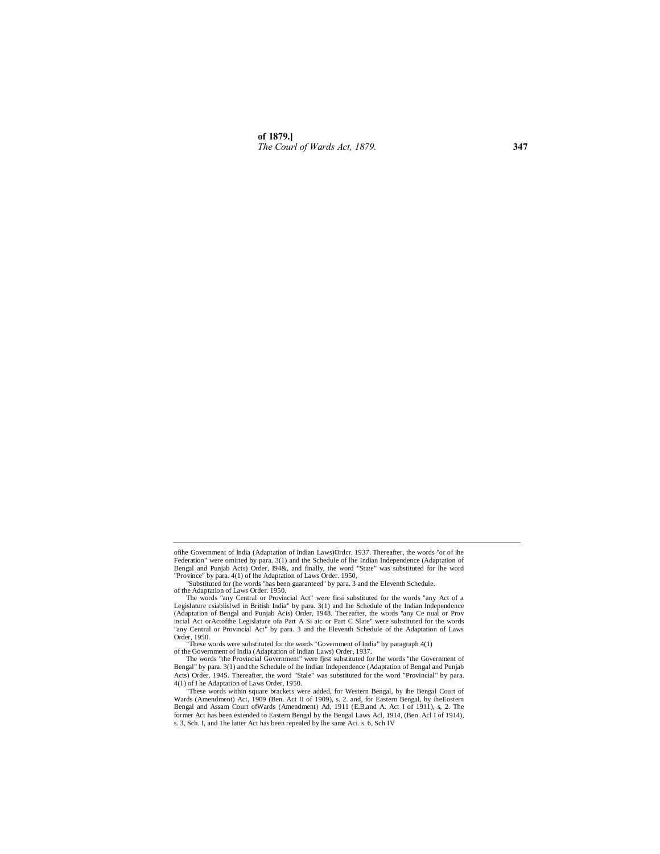**of 1879.]** *The Courl of Wards Act, 1879.* **347**

ofihe Government of India (Adaptation of Indian Laws)Ordcr. 1937. Thereafter, the words "or of ihe Federation" were omitted by para. 3(1) and the Schedule of lhe Indian Independence (Adaptation of Bengal and Punjab Acts) Order, 194&, and finally, the word "State" was substituted for lhe word<br>"Province" by para. 4(1) of lhe Adaptation of Laws Order. 1950,<br>"Substituted for (he words "has been guaranteed" by para. 3 an

of the Adaptation of Laws Order. 1950. The words "any Central or Provincial Act" were firsi substituted for the words "any Act of a Legislature csiablislwd in British India" by para. 3(1) and lhe Schedule of the Indian Independence (Adaptation of Bengal and Punjab Acis) Order, 1948. Thereafter, the words "any Ce nual or Prov incial Act orActofthe Legislature ofa Part A Si aic or Part C Slate" were substituted for the words "any Central or Provincial Act" by para. 3 and the Eleventh Schedule of the Adaptation of Laws Order, 1950.

<sup>&</sup>quot;These words were substituted for the words "Government of India" by paragraph 4(1) of the Government of India (Adaptation of Indian Laws) Order, 1937.

The words "the Provincial Government" were fjrst substituted for lhe words "the Government of Bengal" by para. 3(1) and the Schedule of ihe Indian Independence (Adaptation of Bengal and Punjab Acts) Order, 194S. Thereafter, the word "Stale" was substituted for the word "Provincial" by para. 4(1) of I he Adaptation of Laws Order, 1950.

<sup>&</sup>quot;These words within square brackets were added, for Western Bengal, by ihe Bengal Court of Wards (Amendment) Act, 1909 (Ben. Act II of 1909), s. 2. and, for Eastern Bengal, by iheEostem<br>Bengal and Assam Court ofWards (Amendment) Ad, 1911 (E.B.and A. Act I of 1911), s, 2. The<br>former Act has been extended to Easte s. 3, Sch. I, and 1he latter Act has been repealed by lhe same Aci. s. 6, Sch IV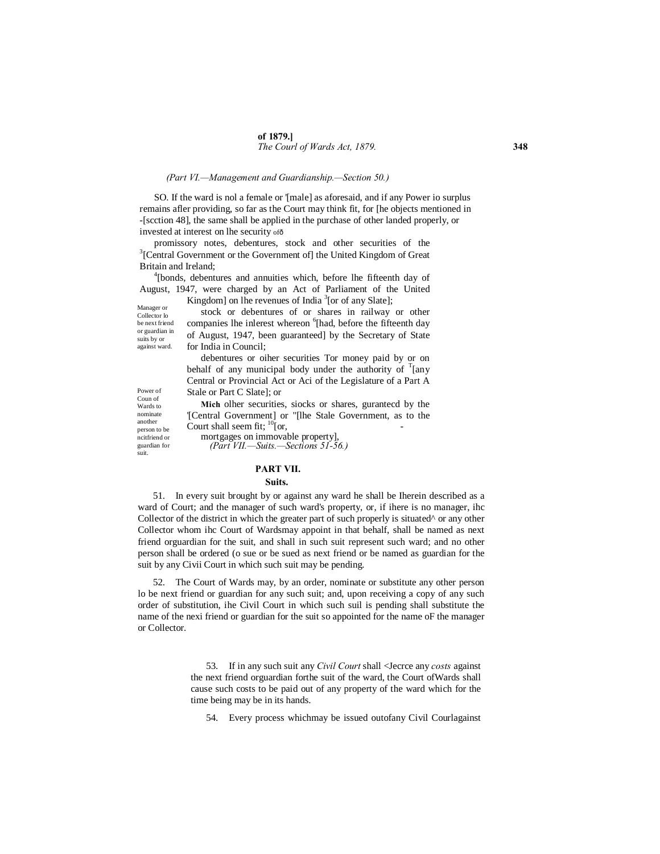#### *(Part VI.—Management and Guardianship.—Section 50.)*

SO. If the ward is nol a female or '[male] as aforesaid, and if any Power io surplus remains afler providing, so far as the Court may think fit, for [he objects mentioned in -[scction 48], the same shall be applied in the purchase of other landed properly, or invested at interest on lhe security of  $\delta$ 

promissory notes, debentures, stock and other securities of the  $3$ <sup>[Central Government or the Government of] the United Kingdom of Great</sup> Britain and Ireland; <sup>4</sup>

<sup>4</sup>[bonds, debentures and annuities which, before lhe fifteenth day of August, 1947, were charged by an Act of Parliament of the United Kingdom] on lhe revenues of India<sup>3</sup>[or of any Slate];

Manager or Collector lo be next friend or guardian in suits by or against ward.

stock or debentures of or shares in railway or other companies lhe inlerest whereon <sup>6</sup>[had, before the fifteenth day of August, 1947, been guaranteed] by the Secretary of State for India in Council;

debentures or oiher securities Tor money paid by or on behalf of any municipal body under the authority of  $T$ [any Central or Provincial Act or Aci of the Legislature of a Part A Stale or Part C Slate]; or

**Mich** olher securities, siocks or shares, gurantecd by the '[Central Government] or "[lhe Stale Government, as to the

Power of Coun of Wards to nominate another person to be ncitfriend or guardian for suit.

Court shall seem fit;  $\frac{10}{10}$  or, mortgages on immovable property], *(Part VII.—Suits.—Sections 51-56.)*

#### **PART VII.**

#### **Suits.**

51. In every suit brought by or against any ward he shall be Iherein described as a ward of Court; and the manager of such ward's property, or, if ihere is no manager, ihc Collector of the district in which the greater part of such properly is situated $\wedge$  or any other Collector whom ihc Court of Wardsmay appoint in that behalf, shall be named as next friend orguardian for the suit, and shall in such suit represent such ward; and no other person shall be ordered (o sue or be sued as next friend or be named as guardian for the suit by any Civii Court in which such suit may be pending.

52. The Court of Wards may, by an order, nominate or substitute any other person lo be next friend or guardian for any such suit; and, upon receiving a copy of any such order of substitution, ihe Civil Court in which such suil is pending shall substitute the name of the nexi friend or guardian for the suit so appointed for the name oF the manager or Collector.

> 53. If in any such suit any *Civil Court* shall <Jecrce any *costs* against the next friend orguardian forthe suit of the ward, the Court ofWards shall cause such costs to be paid out of any property of the ward which for the time being may be in its hands.

54. Every process whichmay be issued outofany Civil Courlagainst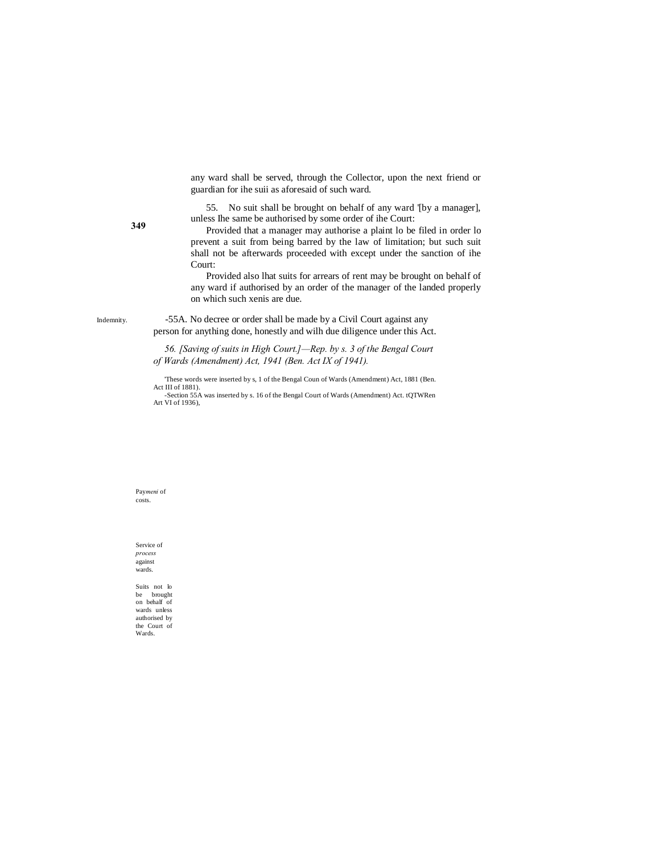any ward shall be served, through the Collector, upon the next friend or guardian for ihe suii as aforesaid of such ward.

55. No suit shall be brought on behalf of any ward '[by a manager], unless Ihe same be authorised by some order of ihe Court:

Provided that a manager may authorise a plaint lo be filed in order lo prevent a suit from being barred by the law of limitation; but such suit shall not be afterwards proceeded with except under the sanction of ihe Court:

Provided also lhat suits for arrears of rent may be brought on behalf of any ward if authorised by an order of the manager of the landed properly on which such xenis are due.

Indemnity. -55A. No decree or order shall be made by a Civil Court against any person for anything done, honestly and wilh due diligence under this Act.

> *56. [Saving of suits in High Court.]—Rep. by s. 3 of the Bengal Court of Wards (Amendment) Act, 1941 (Ben. Act IX of 1941).*

> 'These words were inserted by s, 1 of the Bengal Coun of Wards (Amendment) Act, 1881 (Ben. Act III of 1881).

> -Section 55A was inserted by s. 16 of the Bengal Court of Wards (Amendment) Act. tQTWRen Art VI of 1936),

Pay*meni* of costs.

Service of *process*  against wards.

Suits not lo be brought on behalf of wards unless authorised by the Court of Wards.

**349**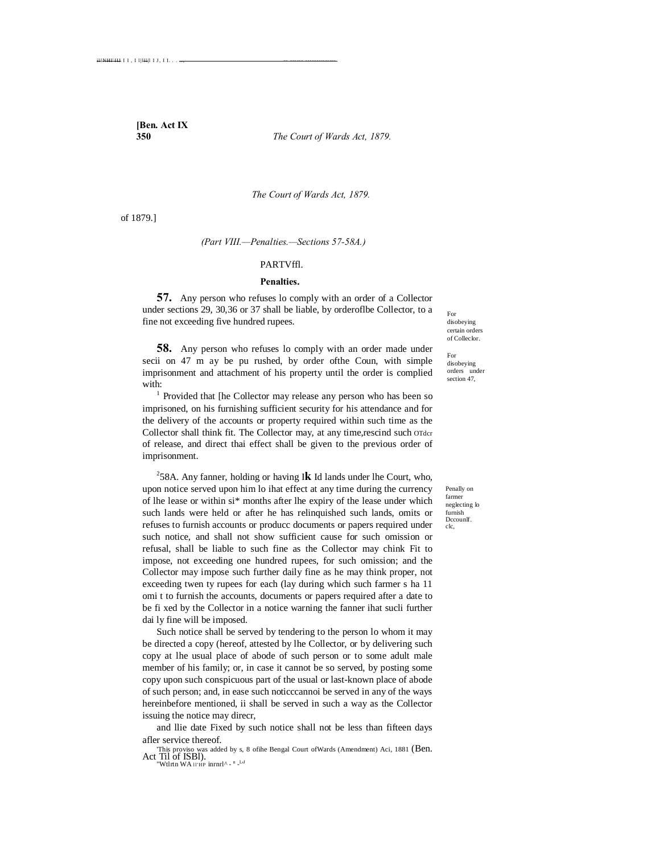**[Ben. Act IX**

**350** *The Court of Wards Act, 1879.*

*The Court of Wards Act, 1879.*

of 1879.]

*(Part VIII.—Penalties.—Sections 57-58A.)*

#### PARTVffl.

#### **Penalties.**

**57.** Any person who refuses lo comply with an order of a Collector under sections 29, 30,36 or 37 shall be liable, by orderoflbe Collector, to a fine not exceeding five hundred rupees.

**58.** Any person who refuses lo comply with an order made under secii on 47 m ay be pu rushed, by order ofthe Coun, with simple imprisonment and attachment of his property until the order is complied with:<br><sup>1</sup> Provided that [he Collector may release any person who has been so

imprisoned, on his furnishing sufficient security for his attendance and for the delivery of the accounts or property required within such time as the Collector shall think fit. The Collector may, at any time,rescind such order of release, and direct thai effect shall be given to the previous order of imprisonment.

2 58A. Any fanner, holding or having I**k** Id lands under lhe Court, who, upon notice served upon him lo ihat effect at any time during the currency of lhe lease or within si\* months after lhe expiry of the lease under which such lands were held or after he has relinquished such lands, omits or refuses to furnish accounts or producc documents or papers required under such notice, and shall not show sufficient cause for such omission or refusal, shall be liable to such fine as the Collector may chink Fit to impose, not exceeding one hundred rupees, for such omission; and the Collector may impose such further daily fine as he may think proper, not exceeding twen ty rupees for each (lay during which such farmer s ha 11 omi t to furnish the accounts, documents or papers required after a date to be fi xed by the Collector in a notice warning the fanner ihat sucli further dai ly fine will be imposed.

Such notice shall be served by tendering to the person lo whom it may be directed a copy (hereof, attested by lhe Collector, or by delivering such copy at lhe usual place of abode of such person or to some adult male member of his family; or, in case it cannot be so served, by posting some copy upon such conspicuous part of the usual or last-known place of abode of such person; and, in ease such noticccannoi be served in any of the ways hereinbefore mentioned, ii shall be served in such a way as the Collector issuing the notice may direcr,

and llie date Fixed by such notice shall not be less than fifteen days afler service thereof.

'This proviso was added by s, 8 ofihe Bengal Court ofWards (Amendment) Aci, 1881 (Ben. Act Til of ISBl). "Wtlrtn WA II'HP inrnrl^ - <sup>n \_LJ</sup>

For disobeying certain orders of Colleclor.

For disobeying orders under section 47,

Penally on farmer neglecting lo furnish Dccounlf.  $\overline{c}$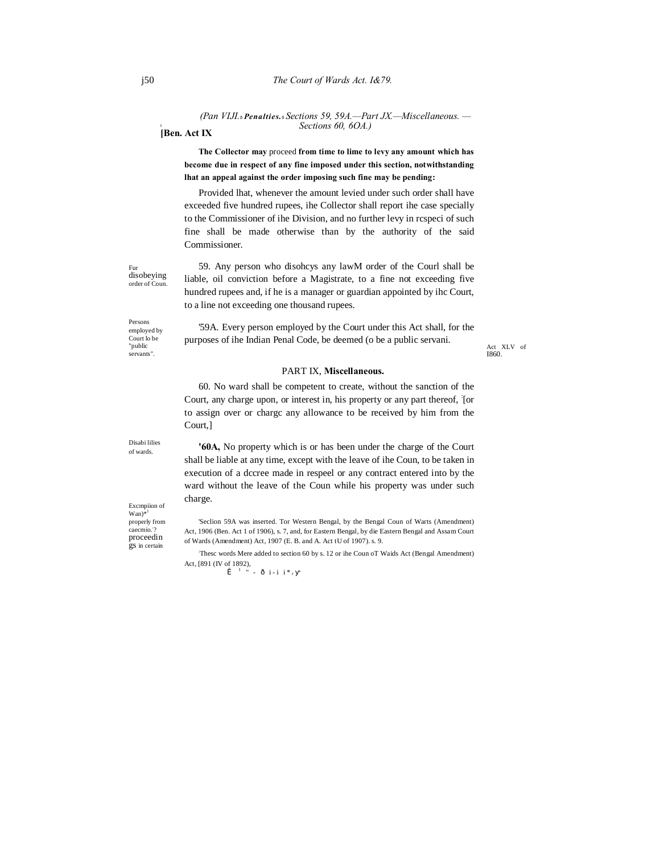*(Pan VIJI.*—*Penalties.*—*Sections 59, 59A.—Part JX.—Miscellaneous. — Sections 60, 6OA.)*

**[Ben. Act IX**

**The Collector may** proceed **from time to lime to levy any amount which has become due in respect of any fine imposed under this section, notwithstanding lhat an appeal against the order imposing such fine may be pending:**

Provided lhat, whenever the amount levied under such order shall have exceeded five hundred rupees, ihe Collector shall report ihe case specially to the Commissioner of ihe Division, and no further levy in rcspeci of such fine shall be made otherwise than by the authority of the said Commissioner.

disobeying 59. Any person who disohcys any lawM order of the Courl shall be liable, oil conviction before a Magistrate, to a fine not exceeding five hundred rupees and, if he is a manager or guardian appointed by ihc Court, to a line not exceeding one thousand rupees.

Act XLV of I860.

#### Persons employed by Court lo be "public servants".

order of Coun.

Fur

'59A. Every person employed by the Court under this Act shall, for the purposes of ihe Indian Penal Code, be deemed (o be a public servani.

## PART IX, **Miscellaneous.**

60. No ward shall be competent to create, without the sanction of the Court, any charge upon, or interest in, his property or any part thereof, [or to assign over or chargc any allowance to be received by him from the Court,]

**'60A,** No property which is or has been under the charge of the Court shall be liable at any time, except with the leave of ihe Coun, to be taken in execution of a dccree made in respeel or any contract entered into by the ward without the leave of the Coun while his property was under such charge.

'Seclion 59A was inserted. Tor Western Bengal, by the Bengal Coun of Warts (Amendment) Act, 1906 (Ben. Act 1 of 1906), s. 7, and, for Eastern Bengal, by die Eastern Bengal and Assam Court of Wards (Amendment) Act, 1907 (E. B. and A. Act tU of 1907). s. 9.

: Thesc words Mere added to section 60 by s. 12 or ihe Coun oT Waids Act (Bengal Amendment) Act, [891 (IV of 1892),<br> $\hat{I}$ <sup>1</sup> " - ô i-i i<sup>\*</sup><sub>r</sub>

Disabi lilies of wards.

Excmpiion of  $Wan$ <sup>\*1</sup> properly from<br>caecmio.<sup>7</sup> proceedin gs in certain

I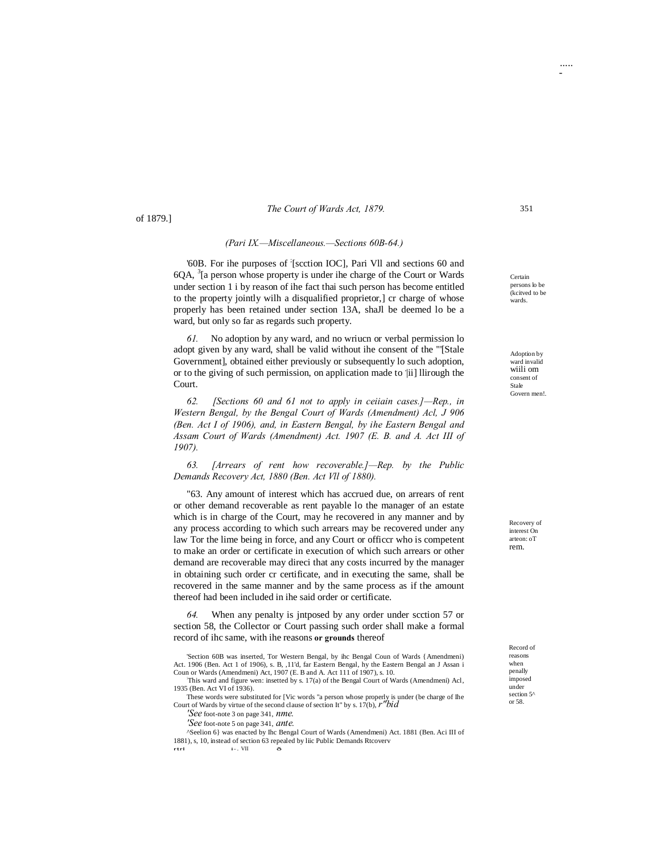#### of 1879.]

#### *(Pari IX.—Miscellaneous.—Sections 60B-64.)*

'60B. For ihe purposes of ; [scction IOC], Pari Vll and sections 60 and  $6QA$ ,  ${}^{3}$ [a person whose property is under ihe charge of the Court or Wards under section 1 i by reason of ihe fact thai such person has become entitled to the property jointly wilh a disqualified proprietor,] cr charge of whose properly has been retained under section 13A, shaJl be deemed lo be a ward, but only so far as regards such property.

*61.* No adoption by any ward, and no wriucn or verbal permission lo adopt given by any ward, shall be valid without ihe consent of the "'[Stale Government], obtained either previously or subsequently lo such adoption, or to the giving of such permission, on application made to 'ii] llirough the Court.

*62. [Sections 60 and 61 not to apply in ceiiain cases.]—Rep., in Western Bengal, by the Bengal Court of Wards (Amendment) Acl, J 906 (Ben. Act I of 1906), and, in Eastern Bengal, by ihe Eastern Bengal and Assam Court of Wards (Amendment) Act. 1907 (E. B. and A. Act III of 1907).*

*63. [Arrears of rent how recoverable.]—Rep. by the Public Demands Recovery Act, 1880 (Ben. Act Vll of 1880).*

"63. Any amount of interest which has accrued due, on arrears of rent or other demand recoverable as rent payable lo the manager of an estate which is in charge of the Court, may he recovered in any manner and by any process according to which such arrears may be recovered under any law Tor the lime being in force, and any Court or officcr who is competent to make an order or certificate in execution of which such arrears or other demand are recoverable may direci that any costs incurred by the manager in obtaining such order cr certificate, and in executing the same, shall be recovered in the same manner and by the same process as if the amount thereof had been included in ihe said order or certificate.

*64.* When any penalty is jntposed by any order under scction 57 or section 58, the Collector or Court passing such order shall make a formal record of ihc same, with ihe reasons **or grounds** thereof

This ward and figure wen: insetted by s. 17(a) of the Bengal Court of Wards (Amendmeni) Acl, 1935 (Ben. Act VI of 1936).

These words were substituted for [Vic words "a person whose properly is under (be charge of Ihe Court of Wards by virtue of the second clause of section It" by s. 17(b), *r"bid*

*'See* foot-note 3 on page 341, *nme. 'See* foot-note 5 on page 341, *ante.*

^Seelion 6} was enacted by Ihc Bengal Court of Wards (Amendmeni) Act. 1881 (Ben. Aci III of 1881), s, 10, instead of section 63 repealed by liic Public Demands Rtcoverv rtrl i-. VII —

Certain persons lo be (kcitved to be wards.

Adoption by ward invalid wiili om consent of Stale Govern men!.

Recovery of interest On arteon: oT rem.

Record of reasons when penally imposed under section 5<sup> $\prime$ </sup> or 58.



..... -

<sup>&#</sup>x27;Section 60B was inserted, Tor Western Bengal, by ihc Bengal Coun of Wards {Amendmeni) Act. 1906 (Ben. Act 1 of 1906), s. B, ,11'd, far Eastern Bengal, hy the Eastern Bengal an J Assan i<br>Coun or Wards (Amendmeni) Act, 1907 (E. B and A. Act 111 of 1907), s. 10.<br>This used and figure uses insetted by a 17/a) of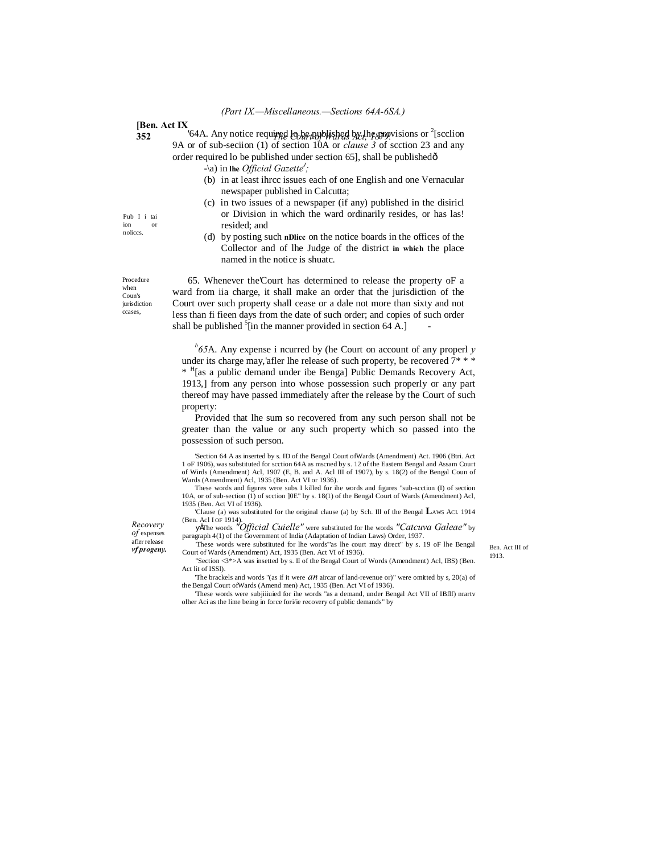**[Ben. Act IX**

**352** <sup>164</sup>A. Any notice required look applished by lhe appoisions or <sup>2</sup>[scclion 9A or of sub-seciion (1) of section 10A or *clause 3* of scction 23 and any order required lo be published under section 65], shall be published—

 $-\{a\}$  in the *Official Gazette'*;

- (b) in at least ihrcc issues each of one English and one Vernacular newspaper published in Calcutta;
- (c) in two issues of a newspaper (if any) published in the disiricl or Division in which the ward ordinarily resides, or has las! resided; and
- (d) by posting such **nDlicc** on the notice boards in the offices of the Collector and of lhe Judge of the district **in which** the place named in the notice is shuatc.

65. Whenever the'Court has determined to release the property oF a ward from iia charge, it shall make an order that the jurisdiction of the Court over such property shall cease or a dale not more than sixty and not less than fi fieen days from the date of such order; and copies of such order shall be published  $\frac{5}{1}$  in the manner provided in section 64 A.]  $\qquad$ 

*b 65*A. Any expense i ncurred by (he Court on account of any properl *y*  under its charge may,'afler lhe release of such property, be recovered  $7$ \* \* \* \* H[as a public demand under ibe Benga] Public Demands Recovery Act, 1913,] from any person into whose possession such properly or any part thereof may have passed immediately after the release by the Court of such property:

Provided that lhe sum so recovered from any such person shall not be greater than the value or any such property which so passed into the possession of such person.

'Section 64 A as inserted by s. ID of the Bengal Court ofWards (Amendment) Act. 1906 (Btri. Act 1 oF 1906), was substituted for scction 64A as mscned by s. 12 of the Eastern Bengal and Assam Court of Wirds (Amendment) Acl, 1907 (E, B. and A. Acl III of 1907), by s. 18(2) of the Bengal Coun of Wards (Amendment) Acl, 1935 (Ben. Act VI or 1936).

These words and figures were subs I killed for ihe words and figures "sub-scction (I) of section 10A, or of sub-section (1) of scction ]0E" by s. 18(1) of the Bengal Court of Wards (Amendment) Acl, 1935 (Ben. Act VI of 1936).

'Clause (a) was substituted for the original clause (a) by Sch. Ill of the Bengal **L**AWS ACI. 1914

(Ben. Acl I OF 1914). •The words *"Official Cuielle"* were substituted for lhe words *"Catcuva Galeae"* by paragraph 4(1) of the Government of India (Adaptation of Indian Laws) Order, 1937.

*vf progeny.* Court of Wards were substituted for the words as the court may differ by s. 19 or the bengat Ben. Act III of the Court of Wards (Amendment) Act, 1935 (Ben. Act VI of 1936). 'These words were substituted for lhe words'"as lhe court may direct" by s. 19 oF lhe Bengal "Section <3\*>A was insetted by s. II of the Bengal Court of Words (Amendment) Acl, IBS) (Ben.

1913.

Act lit of ISSl). 'The brackels and words "(as if it were *an* aircar of land-revenue or)" were omitted by s, 20(a) of

the Bengal Court ofWards (Amend men) Act, 1935 (Ben. Act VI of 1936). 'These words were subjiiiuied for ihe words "as a demand, under Bengal Act VII of IBflf) nrartv

olher Aci as the lime being in force fori/ie recovery of public demands" by

Pub I i tai ion or noliccs.

Procedure when Coun's jurisdiction ccases,

> *Recovery of* expenses

> afler release<br>vf progeny.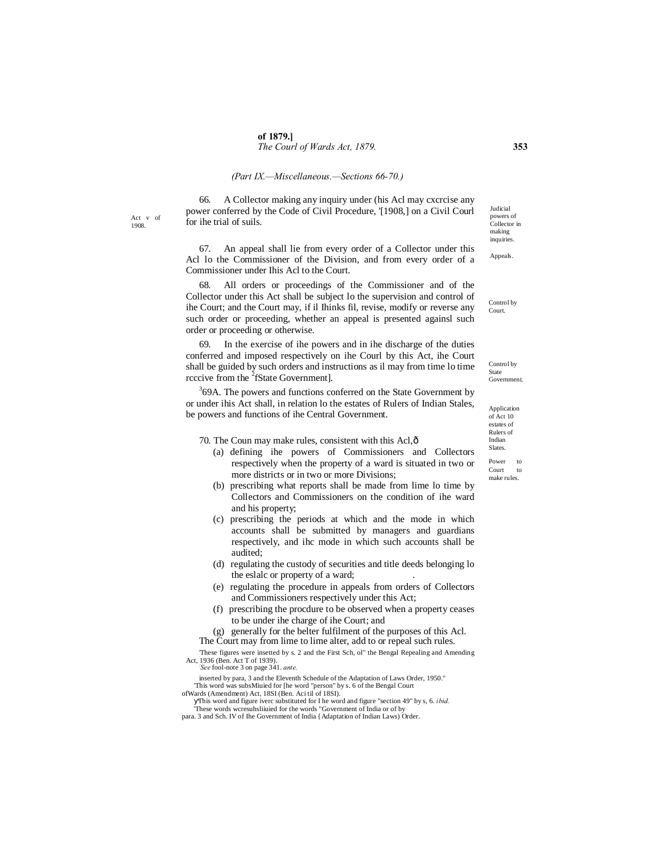#### *(Part IX.—Miscellaneous.—Sections 66-70.)*

Act v of 1908.

66. A Collector making any inquiry under (his Acl may cxcrcise any power conferred by the Code of Civil Procedure, '[1908,] on a Civil Courl for ihe trial of suils.

67. An appeal shall lie from every order of a Collector under this Acl lo the Commissioner of the Division, and from every order of a Commissioner under Ihis Acl to the Court.

68. All orders or proceedings of the Commissioner and of the Collector under this Act shall be subject lo the supervision and control of ihe Court; and the Court may, if il Ihinks fil, revise, modify or reverse any such order or proceeding, whether an appeal is presented againsl such order or proceeding or otherwise.

69. In the exercise of ihe powers and in ihe discharge of the duties conferred and imposed respectively on ihe Courl by this Act, ihe Court shall be guided by such orders and instructions as il may from time lo time rcccive from the <sup>2</sup>fState Government].

 $369A$ . The powers and functions conferred on the State Government by or under ihis Act shall, in relation lo the estates of Rulers of Indian Stales, be powers and functions of ihe Central Government.

70. The Coun may make rules, consistent with this Acl, $\hat{\sigma}$ 

- (a) defining ihe powers of Commissioners and Collectors respectively when the property of a ward is situated in two or more districts or in two or more Divisions;
- (b) prescribing what reports shall be made from lime lo time by Collectors and Commissioners on the condition of ihe ward and his property;
- (c) prescribing the periods at which and the mode in which accounts shall be submitted by managers and guardians respectively, and ihc mode in which such accounts shall be audited;
- (d) regulating the custody of securities and title deeds belonging lo the eslalc or property of a ward;
- (e) regulating the procedure in appeals from orders of Collectors and Commissioners respectively under this Act;
- (f) prescribing the procdure to be observed when a property ceases to be under ihe charge of ihe Court; and
- (g) generally for the belter fulfilment of the purposes of this Acl. The Court may from lime to lime alter, add to or repeal such rules.

'These figures were insetted by s. 2 and the First Sch, ol" the Bengal Repealing and Amending Act, 1936 (Ben. Act T of 1939). *: See* fool-note 3 on page 341. *ante.*

inserted by para, 3 and the Eleventh Schedule of the Adaptation of Laws Order, 1950." 'This word was subsMiuied for [he word "person" by s. 6 of the Bengal Court ofWards (Amendment) Act, 18SI (Ben. Aci til of 18SI).

- This word and figure iverc substituted for I he word and figure "section 49" by s, 6. *ibid.* 'These words wcresuhsliiuied for the words "Government of India or of by
- para. 3 and Sch. IV of Ihe Government of India {Adaptation of Indian Laws) Order.

Judicial powers of Collector in making inquiries.

Appeals.

Control by Court.

Control by State Government.

Application of Act 10 estates of Rulers of Indian Slates. Power to Court to make rules.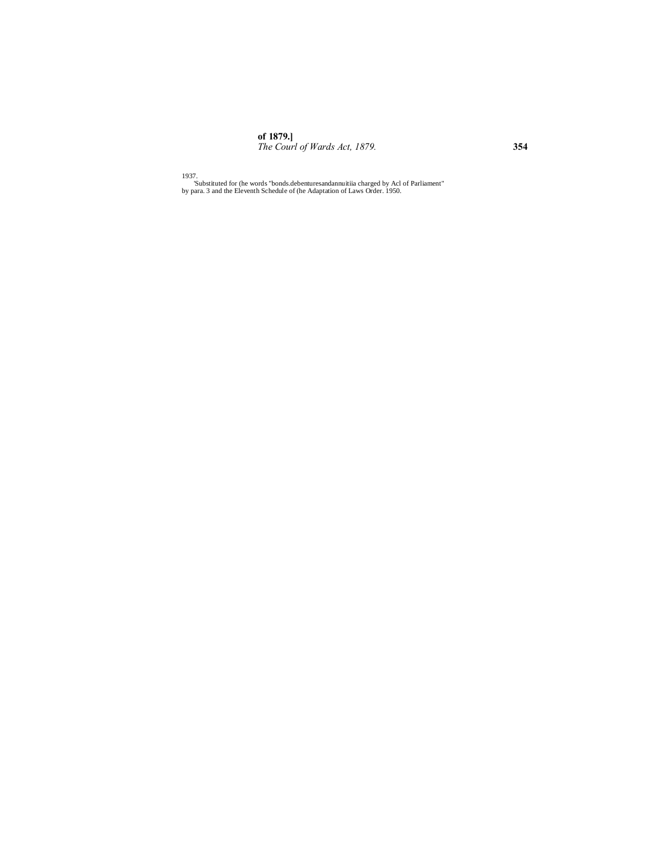**of 1879.]** *The Courl of Wards Act, 1879.* **354**

1937. 'Substituted for (he words "bonds.debenturesandannuitiia charged by Acl of Parliament" by para. 3 and the Eleventh Schedule of (he Adaptation of Laws Order. 1950.